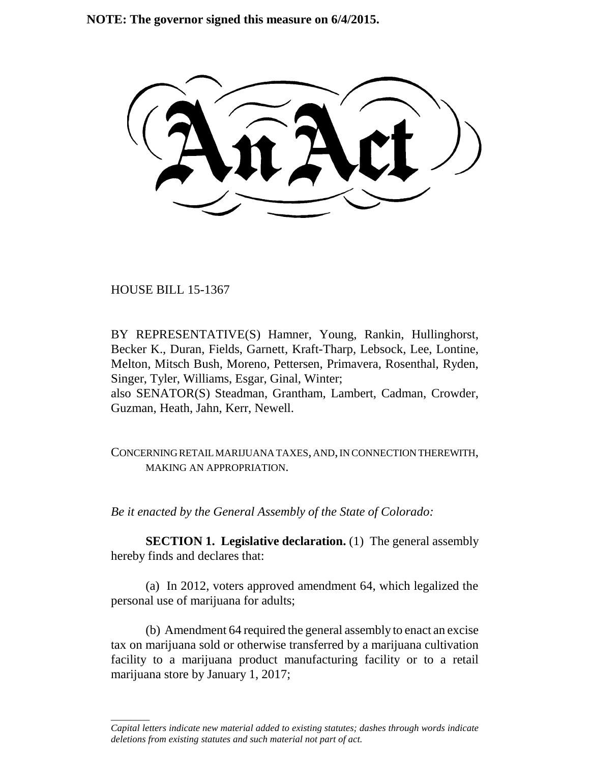**NOTE: The governor signed this measure on 6/4/2015.**

HOUSE BILL 15-1367

\_\_\_\_\_\_\_\_

BY REPRESENTATIVE(S) Hamner, Young, Rankin, Hullinghorst, Becker K., Duran, Fields, Garnett, Kraft-Tharp, Lebsock, Lee, Lontine, Melton, Mitsch Bush, Moreno, Pettersen, Primavera, Rosenthal, Ryden, Singer, Tyler, Williams, Esgar, Ginal, Winter; also SENATOR(S) Steadman, Grantham, Lambert, Cadman, Crowder, Guzman, Heath, Jahn, Kerr, Newell.

CONCERNING RETAIL MARIJUANA TAXES, AND, IN CONNECTION THEREWITH, MAKING AN APPROPRIATION.

*Be it enacted by the General Assembly of the State of Colorado:*

**SECTION 1. Legislative declaration.** (1) The general assembly hereby finds and declares that:

(a) In 2012, voters approved amendment 64, which legalized the personal use of marijuana for adults;

(b) Amendment 64 required the general assembly to enact an excise tax on marijuana sold or otherwise transferred by a marijuana cultivation facility to a marijuana product manufacturing facility or to a retail marijuana store by January 1, 2017;

*Capital letters indicate new material added to existing statutes; dashes through words indicate deletions from existing statutes and such material not part of act.*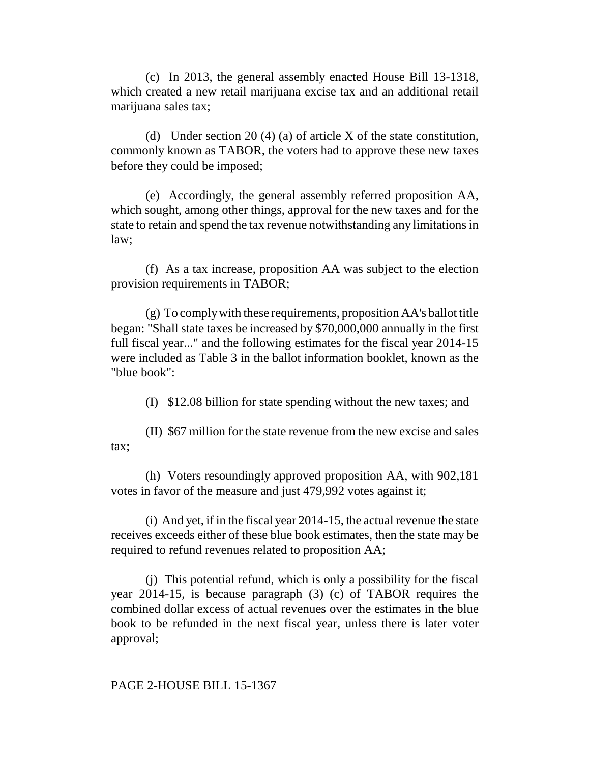(c) In 2013, the general assembly enacted House Bill 13-1318, which created a new retail marijuana excise tax and an additional retail marijuana sales tax;

(d) Under section 20 (4) (a) of article X of the state constitution, commonly known as TABOR, the voters had to approve these new taxes before they could be imposed;

(e) Accordingly, the general assembly referred proposition AA, which sought, among other things, approval for the new taxes and for the state to retain and spend the tax revenue notwithstanding any limitations in law;

(f) As a tax increase, proposition AA was subject to the election provision requirements in TABOR;

(g) To comply with these requirements, proposition AA's ballot title began: "Shall state taxes be increased by \$70,000,000 annually in the first full fiscal year..." and the following estimates for the fiscal year 2014-15 were included as Table 3 in the ballot information booklet, known as the "blue book":

(I) \$12.08 billion for state spending without the new taxes; and

(II) \$67 million for the state revenue from the new excise and sales tax;

(h) Voters resoundingly approved proposition AA, with 902,181 votes in favor of the measure and just 479,992 votes against it;

(i) And yet, if in the fiscal year 2014-15, the actual revenue the state receives exceeds either of these blue book estimates, then the state may be required to refund revenues related to proposition AA;

(j) This potential refund, which is only a possibility for the fiscal year 2014-15, is because paragraph (3) (c) of TABOR requires the combined dollar excess of actual revenues over the estimates in the blue book to be refunded in the next fiscal year, unless there is later voter approval;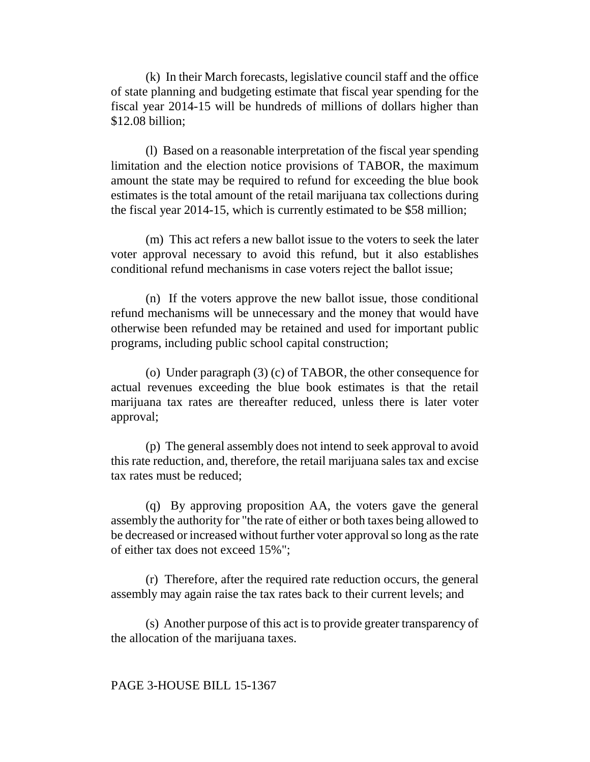(k) In their March forecasts, legislative council staff and the office of state planning and budgeting estimate that fiscal year spending for the fiscal year 2014-15 will be hundreds of millions of dollars higher than \$12.08 billion;

(l) Based on a reasonable interpretation of the fiscal year spending limitation and the election notice provisions of TABOR, the maximum amount the state may be required to refund for exceeding the blue book estimates is the total amount of the retail marijuana tax collections during the fiscal year 2014-15, which is currently estimated to be \$58 million;

(m) This act refers a new ballot issue to the voters to seek the later voter approval necessary to avoid this refund, but it also establishes conditional refund mechanisms in case voters reject the ballot issue;

(n) If the voters approve the new ballot issue, those conditional refund mechanisms will be unnecessary and the money that would have otherwise been refunded may be retained and used for important public programs, including public school capital construction;

(o) Under paragraph (3) (c) of TABOR, the other consequence for actual revenues exceeding the blue book estimates is that the retail marijuana tax rates are thereafter reduced, unless there is later voter approval;

(p) The general assembly does not intend to seek approval to avoid this rate reduction, and, therefore, the retail marijuana sales tax and excise tax rates must be reduced;

(q) By approving proposition AA, the voters gave the general assembly the authority for "the rate of either or both taxes being allowed to be decreased or increased without further voter approval so long as the rate of either tax does not exceed 15%";

(r) Therefore, after the required rate reduction occurs, the general assembly may again raise the tax rates back to their current levels; and

(s) Another purpose of this act is to provide greater transparency of the allocation of the marijuana taxes.

### PAGE 3-HOUSE BILL 15-1367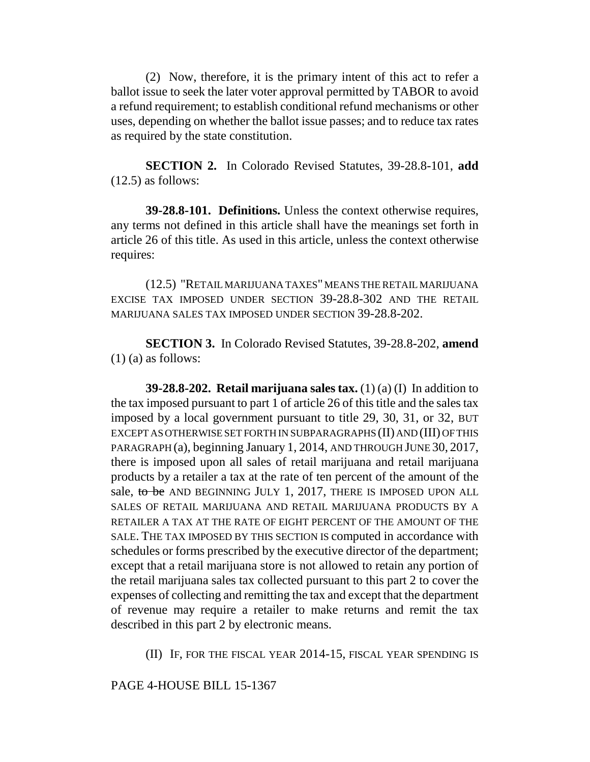(2) Now, therefore, it is the primary intent of this act to refer a ballot issue to seek the later voter approval permitted by TABOR to avoid a refund requirement; to establish conditional refund mechanisms or other uses, depending on whether the ballot issue passes; and to reduce tax rates as required by the state constitution.

**SECTION 2.** In Colorado Revised Statutes, 39-28.8-101, **add** (12.5) as follows:

**39-28.8-101. Definitions.** Unless the context otherwise requires, any terms not defined in this article shall have the meanings set forth in article 26 of this title. As used in this article, unless the context otherwise requires:

(12.5) "RETAIL MARIJUANA TAXES" MEANS THE RETAIL MARIJUANA EXCISE TAX IMPOSED UNDER SECTION 39-28.8-302 AND THE RETAIL MARIJUANA SALES TAX IMPOSED UNDER SECTION 39-28.8-202.

**SECTION 3.** In Colorado Revised Statutes, 39-28.8-202, **amend**  $(1)$  (a) as follows:

**39-28.8-202. Retail marijuana sales tax.** (1) (a) (I) In addition to the tax imposed pursuant to part 1 of article 26 of this title and the sales tax imposed by a local government pursuant to title 29, 30, 31, or 32, BUT EXCEPT AS OTHERWISE SET FORTH IN SUBPARAGRAPHS (II) AND (III) OF THIS PARAGRAPH (a), beginning January 1, 2014, AND THROUGH JUNE 30, 2017, there is imposed upon all sales of retail marijuana and retail marijuana products by a retailer a tax at the rate of ten percent of the amount of the sale, to be AND BEGINNING JULY 1, 2017, THERE IS IMPOSED UPON ALL SALES OF RETAIL MARIJUANA AND RETAIL MARIJUANA PRODUCTS BY A RETAILER A TAX AT THE RATE OF EIGHT PERCENT OF THE AMOUNT OF THE SALE. THE TAX IMPOSED BY THIS SECTION IS computed in accordance with schedules or forms prescribed by the executive director of the department; except that a retail marijuana store is not allowed to retain any portion of the retail marijuana sales tax collected pursuant to this part 2 to cover the expenses of collecting and remitting the tax and except that the department of revenue may require a retailer to make returns and remit the tax described in this part 2 by electronic means.

(II) IF, FOR THE FISCAL YEAR 2014-15, FISCAL YEAR SPENDING IS

PAGE 4-HOUSE BILL 15-1367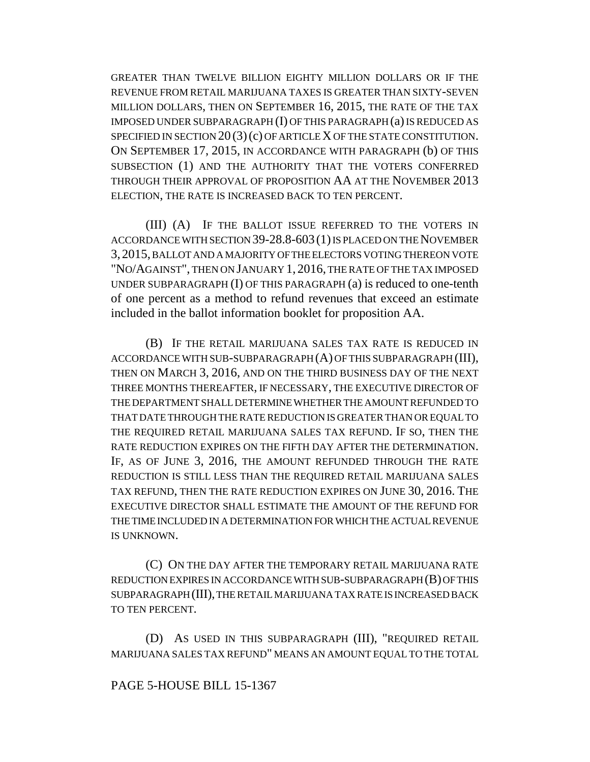GREATER THAN TWELVE BILLION EIGHTY MILLION DOLLARS OR IF THE REVENUE FROM RETAIL MARIJUANA TAXES IS GREATER THAN SIXTY-SEVEN MILLION DOLLARS, THEN ON SEPTEMBER 16, 2015, THE RATE OF THE TAX IMPOSED UNDER SUBPARAGRAPH (I) OF THIS PARAGRAPH (a) IS REDUCED AS SPECIFIED IN SECTION  $20(3)(c)$  OF ARTICLE X OF THE STATE CONSTITUTION. ON SEPTEMBER 17, 2015, IN ACCORDANCE WITH PARAGRAPH (b) OF THIS SUBSECTION (1) AND THE AUTHORITY THAT THE VOTERS CONFERRED THROUGH THEIR APPROVAL OF PROPOSITION AA AT THE NOVEMBER 2013 ELECTION, THE RATE IS INCREASED BACK TO TEN PERCENT.

(III) (A) IF THE BALLOT ISSUE REFERRED TO THE VOTERS IN ACCORDANCE WITH SECTION 39-28.8-603(1) IS PLACED ON THE NOVEMBER 3,2015, BALLOT AND A MAJORITY OF THE ELECTORS VOTING THEREON VOTE "NO/AGAINST", THEN ON JANUARY 1, 2016, THE RATE OF THE TAX IMPOSED UNDER SUBPARAGRAPH (I) OF THIS PARAGRAPH (a) is reduced to one-tenth of one percent as a method to refund revenues that exceed an estimate included in the ballot information booklet for proposition AA.

(B) IF THE RETAIL MARIJUANA SALES TAX RATE IS REDUCED IN ACCORDANCE WITH SUB-SUBPARAGRAPH (A) OF THIS SUBPARAGRAPH (III), THEN ON MARCH 3, 2016, AND ON THE THIRD BUSINESS DAY OF THE NEXT THREE MONTHS THEREAFTER, IF NECESSARY, THE EXECUTIVE DIRECTOR OF THE DEPARTMENT SHALL DETERMINE WHETHER THE AMOUNT REFUNDED TO THAT DATE THROUGH THE RATE REDUCTION IS GREATER THAN OR EQUAL TO THE REQUIRED RETAIL MARIJUANA SALES TAX REFUND. IF SO, THEN THE RATE REDUCTION EXPIRES ON THE FIFTH DAY AFTER THE DETERMINATION. IF, AS OF JUNE 3, 2016, THE AMOUNT REFUNDED THROUGH THE RATE REDUCTION IS STILL LESS THAN THE REQUIRED RETAIL MARIJUANA SALES TAX REFUND, THEN THE RATE REDUCTION EXPIRES ON JUNE 30, 2016. THE EXECUTIVE DIRECTOR SHALL ESTIMATE THE AMOUNT OF THE REFUND FOR THE TIME INCLUDED IN A DETERMINATION FOR WHICH THE ACTUAL REVENUE IS UNKNOWN.

(C) ON THE DAY AFTER THE TEMPORARY RETAIL MARIJUANA RATE REDUCTION EXPIRES IN ACCORDANCE WITH SUB-SUBPARAGRAPH (B) OF THIS SUBPARAGRAPH (III), THE RETAIL MARIJUANA TAX RATE IS INCREASED BACK TO TEN PERCENT.

(D) AS USED IN THIS SUBPARAGRAPH (III), "REQUIRED RETAIL MARIJUANA SALES TAX REFUND" MEANS AN AMOUNT EQUAL TO THE TOTAL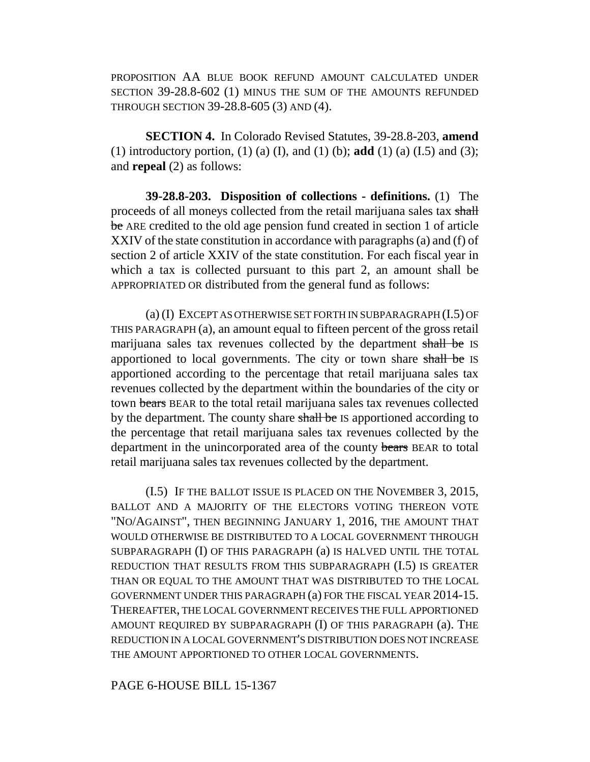PROPOSITION AA BLUE BOOK REFUND AMOUNT CALCULATED UNDER SECTION 39-28.8-602 (1) MINUS THE SUM OF THE AMOUNTS REFUNDED THROUGH SECTION 39-28.8-605 (3) AND (4).

**SECTION 4.** In Colorado Revised Statutes, 39-28.8-203, **amend** (1) introductory portion, (1) (a) (I), and (1) (b); **add** (1) (a) (I.5) and (3); and **repeal** (2) as follows:

**39-28.8-203. Disposition of collections - definitions.** (1) The proceeds of all moneys collected from the retail marijuana sales tax shall be ARE credited to the old age pension fund created in section 1 of article XXIV of the state constitution in accordance with paragraphs (a) and (f) of section 2 of article XXIV of the state constitution. For each fiscal year in which a tax is collected pursuant to this part 2, an amount shall be APPROPRIATED OR distributed from the general fund as follows:

(a) (I) EXCEPT AS OTHERWISE SET FORTH IN SUBPARAGRAPH (I.5) OF THIS PARAGRAPH (a), an amount equal to fifteen percent of the gross retail marijuana sales tax revenues collected by the department shall be IS apportioned to local governments. The city or town share shall be IS apportioned according to the percentage that retail marijuana sales tax revenues collected by the department within the boundaries of the city or town bears BEAR to the total retail marijuana sales tax revenues collected by the department. The county share shall be IS apportioned according to the percentage that retail marijuana sales tax revenues collected by the department in the unincorporated area of the county bears BEAR to total retail marijuana sales tax revenues collected by the department.

(I.5) IF THE BALLOT ISSUE IS PLACED ON THE NOVEMBER 3, 2015, BALLOT AND A MAJORITY OF THE ELECTORS VOTING THEREON VOTE "NO/AGAINST", THEN BEGINNING JANUARY 1, 2016, THE AMOUNT THAT WOULD OTHERWISE BE DISTRIBUTED TO A LOCAL GOVERNMENT THROUGH SUBPARAGRAPH (I) OF THIS PARAGRAPH (a) IS HALVED UNTIL THE TOTAL REDUCTION THAT RESULTS FROM THIS SUBPARAGRAPH (I.5) IS GREATER THAN OR EQUAL TO THE AMOUNT THAT WAS DISTRIBUTED TO THE LOCAL GOVERNMENT UNDER THIS PARAGRAPH (a) FOR THE FISCAL YEAR 2014-15. THEREAFTER, THE LOCAL GOVERNMENT RECEIVES THE FULL APPORTIONED AMOUNT REQUIRED BY SUBPARAGRAPH (I) OF THIS PARAGRAPH (a). THE REDUCTION IN A LOCAL GOVERNMENT'S DISTRIBUTION DOES NOT INCREASE THE AMOUNT APPORTIONED TO OTHER LOCAL GOVERNMENTS.

PAGE 6-HOUSE BILL 15-1367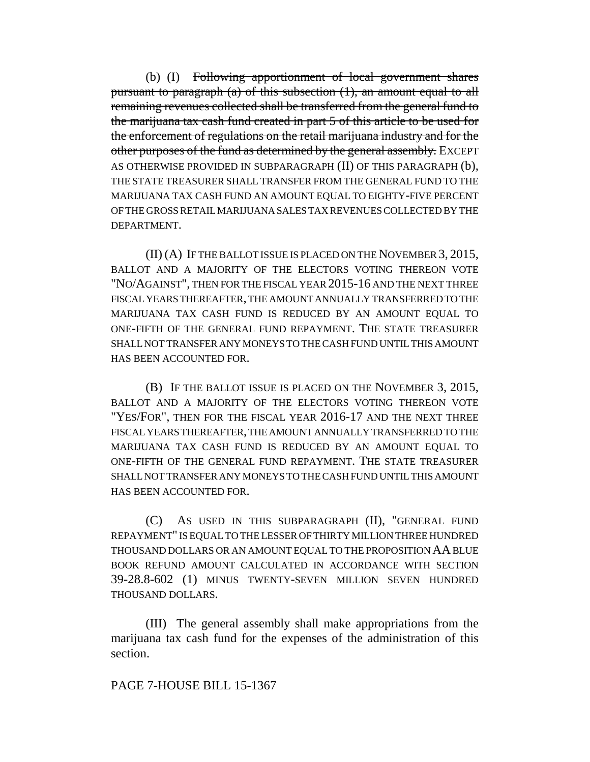(b) (I) Following apportionment of local government shares pursuant to paragraph (a) of this subsection (1), an amount equal to all remaining revenues collected shall be transferred from the general fund to the marijuana tax cash fund created in part 5 of this article to be used for the enforcement of regulations on the retail marijuana industry and for the other purposes of the fund as determined by the general assembly. EXCEPT AS OTHERWISE PROVIDED IN SUBPARAGRAPH (II) OF THIS PARAGRAPH (b), THE STATE TREASURER SHALL TRANSFER FROM THE GENERAL FUND TO THE MARIJUANA TAX CASH FUND AN AMOUNT EQUAL TO EIGHTY-FIVE PERCENT OF THE GROSS RETAIL MARIJUANA SALES TAX REVENUES COLLECTED BY THE DEPARTMENT.

(II) (A) IF THE BALLOT ISSUE IS PLACED ON THE NOVEMBER 3, 2015, BALLOT AND A MAJORITY OF THE ELECTORS VOTING THEREON VOTE "NO/AGAINST", THEN FOR THE FISCAL YEAR 2015-16 AND THE NEXT THREE FISCAL YEARS THEREAFTER, THE AMOUNT ANNUALLY TRANSFERRED TO THE MARIJUANA TAX CASH FUND IS REDUCED BY AN AMOUNT EQUAL TO ONE-FIFTH OF THE GENERAL FUND REPAYMENT. THE STATE TREASURER SHALL NOT TRANSFER ANY MONEYS TO THE CASH FUND UNTIL THIS AMOUNT HAS BEEN ACCOUNTED FOR.

(B) IF THE BALLOT ISSUE IS PLACED ON THE NOVEMBER 3, 2015, BALLOT AND A MAJORITY OF THE ELECTORS VOTING THEREON VOTE "YES/FOR", THEN FOR THE FISCAL YEAR 2016-17 AND THE NEXT THREE FISCAL YEARS THEREAFTER, THE AMOUNT ANNUALLY TRANSFERRED TO THE MARIJUANA TAX CASH FUND IS REDUCED BY AN AMOUNT EQUAL TO ONE-FIFTH OF THE GENERAL FUND REPAYMENT. THE STATE TREASURER SHALL NOT TRANSFER ANY MONEYS TO THE CASH FUND UNTIL THIS AMOUNT HAS BEEN ACCOUNTED FOR.

(C) AS USED IN THIS SUBPARAGRAPH (II), "GENERAL FUND REPAYMENT" IS EQUAL TO THE LESSER OF THIRTY MILLION THREE HUNDRED THOUSAND DOLLARS OR AN AMOUNT EQUAL TO THE PROPOSITION AA BLUE BOOK REFUND AMOUNT CALCULATED IN ACCORDANCE WITH SECTION 39-28.8-602 (1) MINUS TWENTY-SEVEN MILLION SEVEN HUNDRED THOUSAND DOLLARS.

(III) The general assembly shall make appropriations from the marijuana tax cash fund for the expenses of the administration of this section.

## PAGE 7-HOUSE BILL 15-1367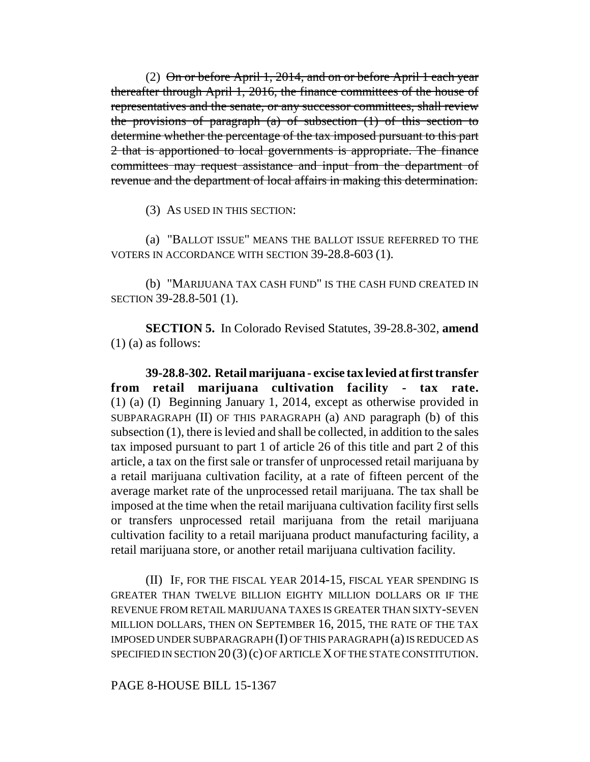(2) On or before April 1, 2014, and on or before April 1 each year thereafter through April 1, 2016, the finance committees of the house of representatives and the senate, or any successor committees, shall review the provisions of paragraph (a) of subsection (1) of this section to determine whether the percentage of the tax imposed pursuant to this part 2 that is apportioned to local governments is appropriate. The finance committees may request assistance and input from the department of revenue and the department of local affairs in making this determination.

(3) AS USED IN THIS SECTION:

(a) "BALLOT ISSUE" MEANS THE BALLOT ISSUE REFERRED TO THE VOTERS IN ACCORDANCE WITH SECTION 39-28.8-603 (1).

(b) "MARIJUANA TAX CASH FUND" IS THE CASH FUND CREATED IN SECTION 39-28.8-501 (1).

**SECTION 5.** In Colorado Revised Statutes, 39-28.8-302, **amend**  $(1)$  (a) as follows:

**39-28.8-302. Retail marijuana - excise tax levied at first transfer from retail marijuana cultivation facility - tax rate.** (1) (a) (I) Beginning January 1, 2014, except as otherwise provided in SUBPARAGRAPH (II) OF THIS PARAGRAPH (a) AND paragraph (b) of this subsection (1), there is levied and shall be collected, in addition to the sales tax imposed pursuant to part 1 of article 26 of this title and part 2 of this article, a tax on the first sale or transfer of unprocessed retail marijuana by a retail marijuana cultivation facility, at a rate of fifteen percent of the average market rate of the unprocessed retail marijuana. The tax shall be imposed at the time when the retail marijuana cultivation facility first sells or transfers unprocessed retail marijuana from the retail marijuana cultivation facility to a retail marijuana product manufacturing facility, a retail marijuana store, or another retail marijuana cultivation facility.

(II) IF, FOR THE FISCAL YEAR 2014-15, FISCAL YEAR SPENDING IS GREATER THAN TWELVE BILLION EIGHTY MILLION DOLLARS OR IF THE REVENUE FROM RETAIL MARIJUANA TAXES IS GREATER THAN SIXTY-SEVEN MILLION DOLLARS, THEN ON SEPTEMBER 16, 2015, THE RATE OF THE TAX IMPOSED UNDER SUBPARAGRAPH (I) OF THIS PARAGRAPH (a) IS REDUCED AS SPECIFIED IN SECTION 20 (3)(c) OF ARTICLE X OF THE STATE CONSTITUTION.

PAGE 8-HOUSE BILL 15-1367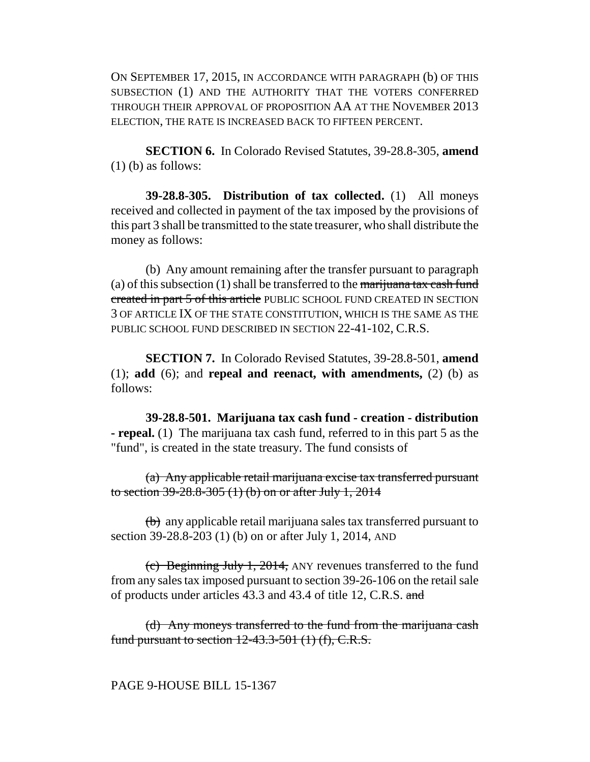ON SEPTEMBER 17, 2015, IN ACCORDANCE WITH PARAGRAPH (b) OF THIS SUBSECTION (1) AND THE AUTHORITY THAT THE VOTERS CONFERRED THROUGH THEIR APPROVAL OF PROPOSITION AA AT THE NOVEMBER 2013 ELECTION, THE RATE IS INCREASED BACK TO FIFTEEN PERCENT.

**SECTION 6.** In Colorado Revised Statutes, 39-28.8-305, **amend** (1) (b) as follows:

**39-28.8-305. Distribution of tax collected.** (1) All moneys received and collected in payment of the tax imposed by the provisions of this part 3 shall be transmitted to the state treasurer, who shall distribute the money as follows:

(b) Any amount remaining after the transfer pursuant to paragraph (a) of this subsection  $(1)$  shall be transferred to the marijuana tax cash fund created in part 5 of this article PUBLIC SCHOOL FUND CREATED IN SECTION 3 OF ARTICLE IX OF THE STATE CONSTITUTION, WHICH IS THE SAME AS THE PUBLIC SCHOOL FUND DESCRIBED IN SECTION 22-41-102, C.R.S.

**SECTION 7.** In Colorado Revised Statutes, 39-28.8-501, **amend** (1); **add** (6); and **repeal and reenact, with amendments,** (2) (b) as follows:

**39-28.8-501. Marijuana tax cash fund - creation - distribution - repeal.** (1) The marijuana tax cash fund, referred to in this part 5 as the "fund", is created in the state treasury. The fund consists of

(a) Any applicable retail marijuana excise tax transferred pursuant to section 39-28.8-305 (1) (b) on or after July 1, 2014

(b) any applicable retail marijuana sales tax transferred pursuant to section 39-28.8-203 (1) (b) on or after July 1, 2014, AND

(c) Beginning July 1, 2014, ANY revenues transferred to the fund from any sales tax imposed pursuant to section 39-26-106 on the retail sale of products under articles 43.3 and 43.4 of title 12, C.R.S. and

(d) Any moneys transferred to the fund from the marijuana cash fund pursuant to section  $12-43.3-501$  (1) (f), C.R.S.

PAGE 9-HOUSE BILL 15-1367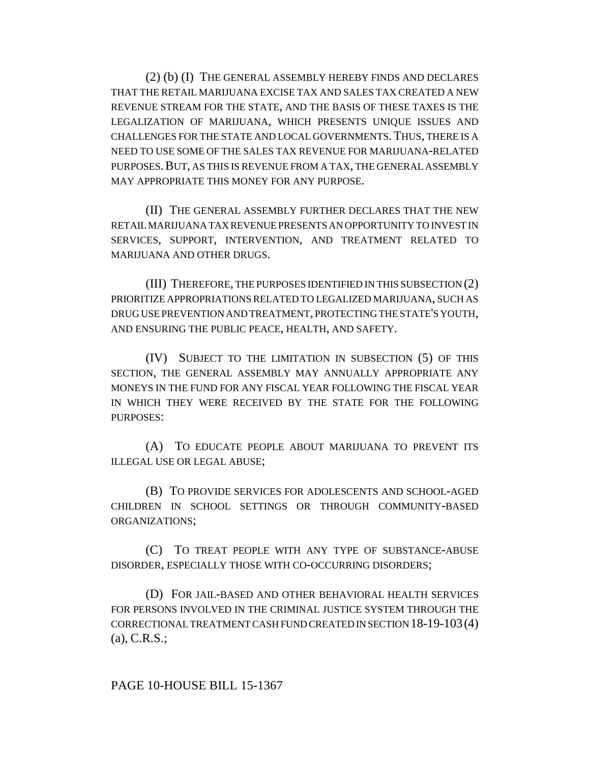(2) (b) (I) THE GENERAL ASSEMBLY HEREBY FINDS AND DECLARES THAT THE RETAIL MARIJUANA EXCISE TAX AND SALES TAX CREATED A NEW REVENUE STREAM FOR THE STATE, AND THE BASIS OF THESE TAXES IS THE LEGALIZATION OF MARIJUANA, WHICH PRESENTS UNIQUE ISSUES AND CHALLENGES FOR THE STATE AND LOCAL GOVERNMENTS.THUS, THERE IS A NEED TO USE SOME OF THE SALES TAX REVENUE FOR MARIJUANA-RELATED PURPOSES.BUT, AS THIS IS REVENUE FROM A TAX, THE GENERAL ASSEMBLY MAY APPROPRIATE THIS MONEY FOR ANY PURPOSE.

(II) THE GENERAL ASSEMBLY FURTHER DECLARES THAT THE NEW RETAIL MARIJUANA TAX REVENUE PRESENTS AN OPPORTUNITY TO INVEST IN SERVICES, SUPPORT, INTERVENTION, AND TREATMENT RELATED TO MARIJUANA AND OTHER DRUGS.

(III) THEREFORE, THE PURPOSES IDENTIFIED IN THIS SUBSECTION (2) PRIORITIZE APPROPRIATIONS RELATED TO LEGALIZED MARIJUANA, SUCH AS DRUG USE PREVENTION AND TREATMENT, PROTECTING THE STATE'S YOUTH, AND ENSURING THE PUBLIC PEACE, HEALTH, AND SAFETY.

(IV) SUBJECT TO THE LIMITATION IN SUBSECTION (5) OF THIS SECTION, THE GENERAL ASSEMBLY MAY ANNUALLY APPROPRIATE ANY MONEYS IN THE FUND FOR ANY FISCAL YEAR FOLLOWING THE FISCAL YEAR IN WHICH THEY WERE RECEIVED BY THE STATE FOR THE FOLLOWING PURPOSES:

(A) TO EDUCATE PEOPLE ABOUT MARIJUANA TO PREVENT ITS ILLEGAL USE OR LEGAL ABUSE;

(B) TO PROVIDE SERVICES FOR ADOLESCENTS AND SCHOOL-AGED CHILDREN IN SCHOOL SETTINGS OR THROUGH COMMUNITY-BASED ORGANIZATIONS;

(C) TO TREAT PEOPLE WITH ANY TYPE OF SUBSTANCE-ABUSE DISORDER, ESPECIALLY THOSE WITH CO-OCCURRING DISORDERS;

(D) FOR JAIL-BASED AND OTHER BEHAVIORAL HEALTH SERVICES FOR PERSONS INVOLVED IN THE CRIMINAL JUSTICE SYSTEM THROUGH THE CORRECTIONAL TREATMENT CASH FUND CREATED IN SECTION 18-19-103(4)  $(a)$ , C.R.S.;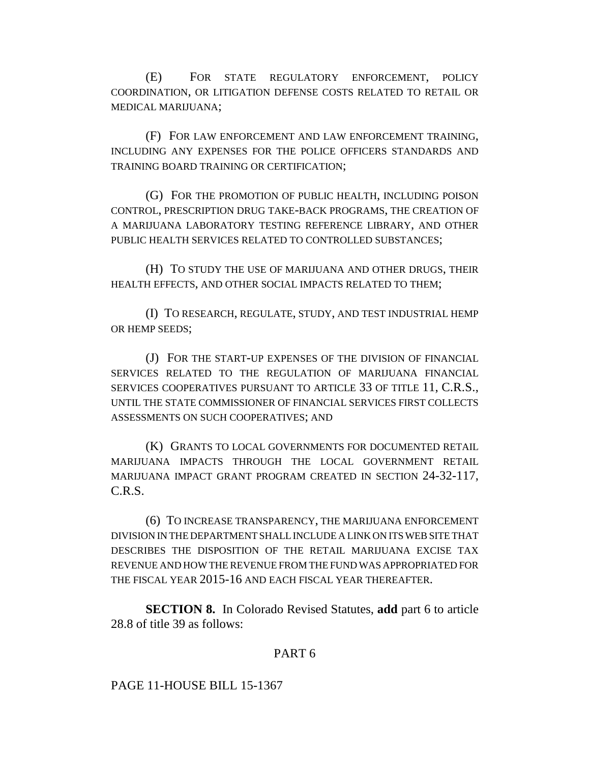(E) FOR STATE REGULATORY ENFORCEMENT, POLICY COORDINATION, OR LITIGATION DEFENSE COSTS RELATED TO RETAIL OR MEDICAL MARIJUANA;

(F) FOR LAW ENFORCEMENT AND LAW ENFORCEMENT TRAINING, INCLUDING ANY EXPENSES FOR THE POLICE OFFICERS STANDARDS AND TRAINING BOARD TRAINING OR CERTIFICATION;

(G) FOR THE PROMOTION OF PUBLIC HEALTH, INCLUDING POISON CONTROL, PRESCRIPTION DRUG TAKE-BACK PROGRAMS, THE CREATION OF A MARIJUANA LABORATORY TESTING REFERENCE LIBRARY, AND OTHER PUBLIC HEALTH SERVICES RELATED TO CONTROLLED SUBSTANCES;

(H) TO STUDY THE USE OF MARIJUANA AND OTHER DRUGS, THEIR HEALTH EFFECTS, AND OTHER SOCIAL IMPACTS RELATED TO THEM;

(I) TO RESEARCH, REGULATE, STUDY, AND TEST INDUSTRIAL HEMP OR HEMP SEEDS;

(J) FOR THE START-UP EXPENSES OF THE DIVISION OF FINANCIAL SERVICES RELATED TO THE REGULATION OF MARIJUANA FINANCIAL SERVICES COOPERATIVES PURSUANT TO ARTICLE 33 OF TITLE 11, C.R.S., UNTIL THE STATE COMMISSIONER OF FINANCIAL SERVICES FIRST COLLECTS ASSESSMENTS ON SUCH COOPERATIVES; AND

(K) GRANTS TO LOCAL GOVERNMENTS FOR DOCUMENTED RETAIL MARIJUANA IMPACTS THROUGH THE LOCAL GOVERNMENT RETAIL MARIJUANA IMPACT GRANT PROGRAM CREATED IN SECTION 24-32-117, C.R.S.

(6) TO INCREASE TRANSPARENCY, THE MARIJUANA ENFORCEMENT DIVISION IN THE DEPARTMENT SHALL INCLUDE A LINK ON ITS WEB SITE THAT DESCRIBES THE DISPOSITION OF THE RETAIL MARIJUANA EXCISE TAX REVENUE AND HOW THE REVENUE FROM THE FUND WAS APPROPRIATED FOR THE FISCAL YEAR 2015-16 AND EACH FISCAL YEAR THEREAFTER.

**SECTION 8.** In Colorado Revised Statutes, **add** part 6 to article 28.8 of title 39 as follows:

## PART 6

PAGE 11-HOUSE BILL 15-1367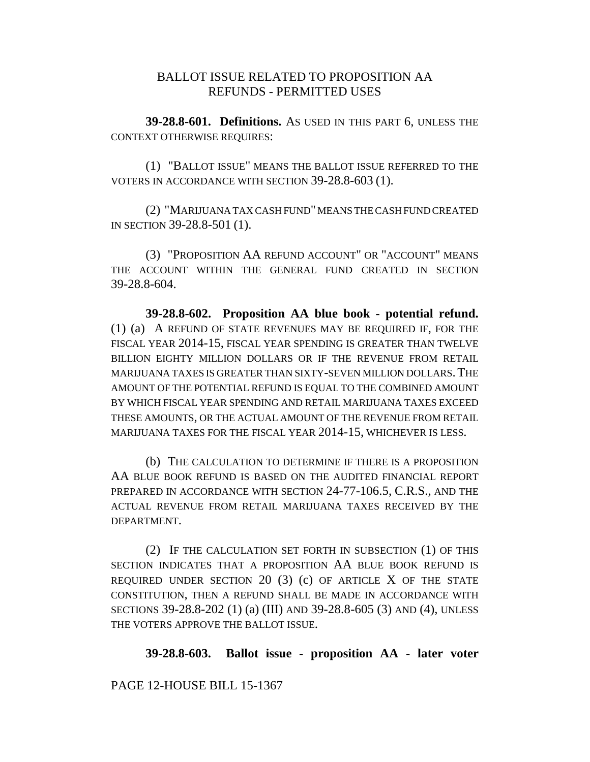# BALLOT ISSUE RELATED TO PROPOSITION AA REFUNDS - PERMITTED USES

**39-28.8-601. Definitions.** AS USED IN THIS PART 6, UNLESS THE CONTEXT OTHERWISE REQUIRES:

(1) "BALLOT ISSUE" MEANS THE BALLOT ISSUE REFERRED TO THE VOTERS IN ACCORDANCE WITH SECTION 39-28.8-603 (1).

(2) "MARIJUANA TAX CASH FUND" MEANS THE CASH FUND CREATED IN SECTION 39-28.8-501 (1).

(3) "PROPOSITION AA REFUND ACCOUNT" OR "ACCOUNT" MEANS THE ACCOUNT WITHIN THE GENERAL FUND CREATED IN SECTION 39-28.8-604.

**39-28.8-602. Proposition AA blue book - potential refund.** (1) (a) A REFUND OF STATE REVENUES MAY BE REQUIRED IF, FOR THE FISCAL YEAR 2014-15, FISCAL YEAR SPENDING IS GREATER THAN TWELVE BILLION EIGHTY MILLION DOLLARS OR IF THE REVENUE FROM RETAIL MARIJUANA TAXES IS GREATER THAN SIXTY-SEVEN MILLION DOLLARS.THE AMOUNT OF THE POTENTIAL REFUND IS EQUAL TO THE COMBINED AMOUNT BY WHICH FISCAL YEAR SPENDING AND RETAIL MARIJUANA TAXES EXCEED THESE AMOUNTS, OR THE ACTUAL AMOUNT OF THE REVENUE FROM RETAIL MARIJUANA TAXES FOR THE FISCAL YEAR 2014-15, WHICHEVER IS LESS.

(b) THE CALCULATION TO DETERMINE IF THERE IS A PROPOSITION AA BLUE BOOK REFUND IS BASED ON THE AUDITED FINANCIAL REPORT PREPARED IN ACCORDANCE WITH SECTION 24-77-106.5, C.R.S., AND THE ACTUAL REVENUE FROM RETAIL MARIJUANA TAXES RECEIVED BY THE DEPARTMENT.

(2) IF THE CALCULATION SET FORTH IN SUBSECTION (1) OF THIS SECTION INDICATES THAT A PROPOSITION AA BLUE BOOK REFUND IS REQUIRED UNDER SECTION  $20$  (3) (c) OF ARTICLE X OF THE STATE CONSTITUTION, THEN A REFUND SHALL BE MADE IN ACCORDANCE WITH SECTIONS 39-28.8-202 (1) (a) (III) AND 39-28.8-605 (3) AND (4), UNLESS THE VOTERS APPROVE THE BALLOT ISSUE.

**39-28.8-603. Ballot issue - proposition AA - later voter**

PAGE 12-HOUSE BILL 15-1367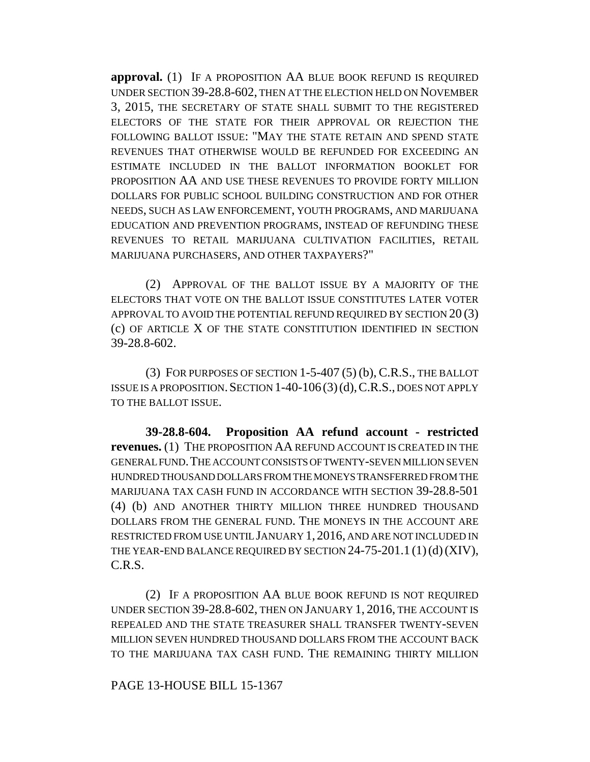**approval.** (1) IF A PROPOSITION AA BLUE BOOK REFUND IS REQUIRED UNDER SECTION 39-28.8-602, THEN AT THE ELECTION HELD ON NOVEMBER 3, 2015, THE SECRETARY OF STATE SHALL SUBMIT TO THE REGISTERED ELECTORS OF THE STATE FOR THEIR APPROVAL OR REJECTION THE FOLLOWING BALLOT ISSUE: "MAY THE STATE RETAIN AND SPEND STATE REVENUES THAT OTHERWISE WOULD BE REFUNDED FOR EXCEEDING AN ESTIMATE INCLUDED IN THE BALLOT INFORMATION BOOKLET FOR PROPOSITION AA AND USE THESE REVENUES TO PROVIDE FORTY MILLION DOLLARS FOR PUBLIC SCHOOL BUILDING CONSTRUCTION AND FOR OTHER NEEDS, SUCH AS LAW ENFORCEMENT, YOUTH PROGRAMS, AND MARIJUANA EDUCATION AND PREVENTION PROGRAMS, INSTEAD OF REFUNDING THESE REVENUES TO RETAIL MARIJUANA CULTIVATION FACILITIES, RETAIL MARIJUANA PURCHASERS, AND OTHER TAXPAYERS?"

(2) APPROVAL OF THE BALLOT ISSUE BY A MAJORITY OF THE ELECTORS THAT VOTE ON THE BALLOT ISSUE CONSTITUTES LATER VOTER APPROVAL TO AVOID THE POTENTIAL REFUND REQUIRED BY SECTION 20 (3) (c) OF ARTICLE X OF THE STATE CONSTITUTION IDENTIFIED IN SECTION 39-28.8-602.

(3) FOR PURPOSES OF SECTION 1-5-407 (5) (b), C.R.S., THE BALLOT ISSUE IS A PROPOSITION. SECTION  $1-40-106(3)(d)$ , C.R.S., DOES NOT APPLY TO THE BALLOT ISSUE.

**39-28.8-604. Proposition AA refund account - restricted revenues.** (1) THE PROPOSITION AA REFUND ACCOUNT IS CREATED IN THE GENERAL FUND.THE ACCOUNT CONSISTS OF TWENTY-SEVEN MILLION SEVEN HUNDRED THOUSAND DOLLARS FROM THE MONEYS TRANSFERRED FROM THE MARIJUANA TAX CASH FUND IN ACCORDANCE WITH SECTION 39-28.8-501 (4) (b) AND ANOTHER THIRTY MILLION THREE HUNDRED THOUSAND DOLLARS FROM THE GENERAL FUND. THE MONEYS IN THE ACCOUNT ARE RESTRICTED FROM USE UNTIL JANUARY 1, 2016, AND ARE NOT INCLUDED IN THE YEAR-END BALANCE REQUIRED BY SECTION 24-75-201.1 (1)(d) (XIV), C.R.S.

(2) IF A PROPOSITION AA BLUE BOOK REFUND IS NOT REQUIRED UNDER SECTION 39-28.8-602, THEN ON JANUARY 1, 2016, THE ACCOUNT IS REPEALED AND THE STATE TREASURER SHALL TRANSFER TWENTY-SEVEN MILLION SEVEN HUNDRED THOUSAND DOLLARS FROM THE ACCOUNT BACK TO THE MARIJUANA TAX CASH FUND. THE REMAINING THIRTY MILLION

## PAGE 13-HOUSE BILL 15-1367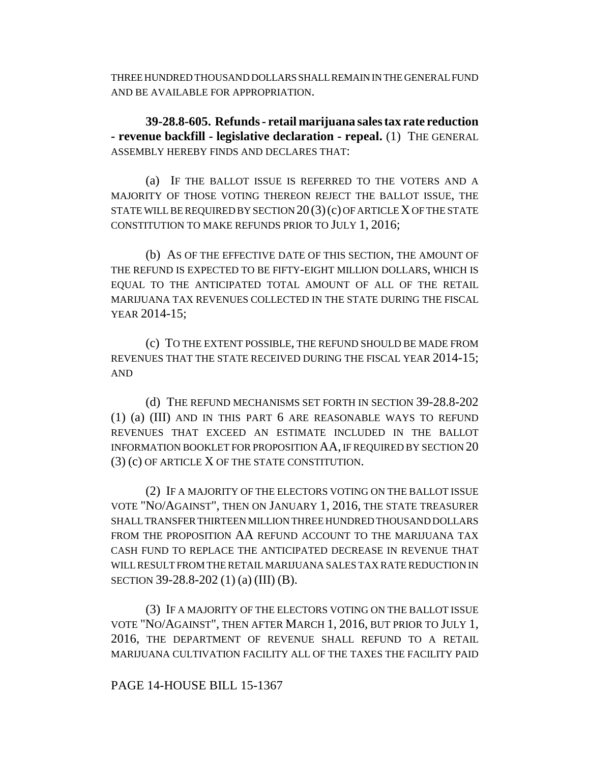THREE HUNDRED THOUSAND DOLLARS SHALL REMAIN IN THE GENERAL FUND AND BE AVAILABLE FOR APPROPRIATION.

**39-28.8-605. Refunds - retail marijuana sales tax rate reduction - revenue backfill - legislative declaration - repeal.** (1) THE GENERAL ASSEMBLY HEREBY FINDS AND DECLARES THAT:

(a) IF THE BALLOT ISSUE IS REFERRED TO THE VOTERS AND A MAJORITY OF THOSE VOTING THEREON REJECT THE BALLOT ISSUE, THE STATE WILL BE REQUIRED BY SECTION  $20(3)(c)$  OF ARTICLE X OF THE STATE CONSTITUTION TO MAKE REFUNDS PRIOR TO JULY 1, 2016;

(b) AS OF THE EFFECTIVE DATE OF THIS SECTION, THE AMOUNT OF THE REFUND IS EXPECTED TO BE FIFTY-EIGHT MILLION DOLLARS, WHICH IS EQUAL TO THE ANTICIPATED TOTAL AMOUNT OF ALL OF THE RETAIL MARIJUANA TAX REVENUES COLLECTED IN THE STATE DURING THE FISCAL YEAR 2014-15;

(c) TO THE EXTENT POSSIBLE, THE REFUND SHOULD BE MADE FROM REVENUES THAT THE STATE RECEIVED DURING THE FISCAL YEAR 2014-15; AND

(d) THE REFUND MECHANISMS SET FORTH IN SECTION 39-28.8-202 (1) (a) (III) AND IN THIS PART 6 ARE REASONABLE WAYS TO REFUND REVENUES THAT EXCEED AN ESTIMATE INCLUDED IN THE BALLOT INFORMATION BOOKLET FOR PROPOSITION AA, IF REQUIRED BY SECTION 20 (3) (c) OF ARTICLE X OF THE STATE CONSTITUTION.

(2) IF A MAJORITY OF THE ELECTORS VOTING ON THE BALLOT ISSUE VOTE "NO/AGAINST", THEN ON JANUARY 1, 2016, THE STATE TREASURER SHALL TRANSFER THIRTEEN MILLION THREE HUNDRED THOUSAND DOLLARS FROM THE PROPOSITION AA REFUND ACCOUNT TO THE MARIJUANA TAX CASH FUND TO REPLACE THE ANTICIPATED DECREASE IN REVENUE THAT WILL RESULT FROM THE RETAIL MARIJUANA SALES TAX RATE REDUCTION IN SECTION 39-28.8-202 (1) (a) (III) (B).

(3) IF A MAJORITY OF THE ELECTORS VOTING ON THE BALLOT ISSUE VOTE "NO/AGAINST", THEN AFTER MARCH 1, 2016, BUT PRIOR TO JULY 1, 2016, THE DEPARTMENT OF REVENUE SHALL REFUND TO A RETAIL MARIJUANA CULTIVATION FACILITY ALL OF THE TAXES THE FACILITY PAID

## PAGE 14-HOUSE BILL 15-1367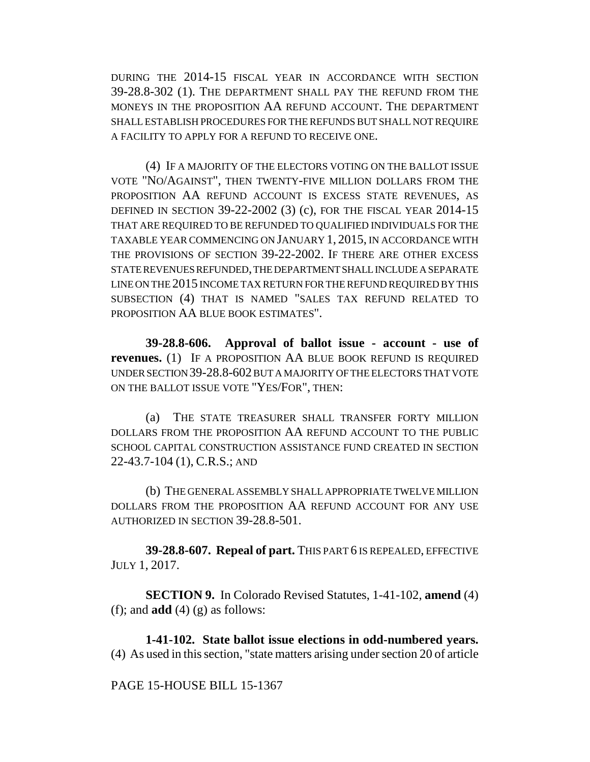DURING THE 2014-15 FISCAL YEAR IN ACCORDANCE WITH SECTION 39-28.8-302 (1). THE DEPARTMENT SHALL PAY THE REFUND FROM THE MONEYS IN THE PROPOSITION AA REFUND ACCOUNT. THE DEPARTMENT SHALL ESTABLISH PROCEDURES FOR THE REFUNDS BUT SHALL NOT REQUIRE A FACILITY TO APPLY FOR A REFUND TO RECEIVE ONE.

(4) IF A MAJORITY OF THE ELECTORS VOTING ON THE BALLOT ISSUE VOTE "NO/AGAINST", THEN TWENTY-FIVE MILLION DOLLARS FROM THE PROPOSITION AA REFUND ACCOUNT IS EXCESS STATE REVENUES, AS DEFINED IN SECTION 39-22-2002 (3) (c), FOR THE FISCAL YEAR 2014-15 THAT ARE REQUIRED TO BE REFUNDED TO QUALIFIED INDIVIDUALS FOR THE TAXABLE YEAR COMMENCING ON JANUARY 1, 2015, IN ACCORDANCE WITH THE PROVISIONS OF SECTION 39-22-2002. IF THERE ARE OTHER EXCESS STATE REVENUES REFUNDED, THE DEPARTMENT SHALL INCLUDE A SEPARATE LINE ON THE 2015 INCOME TAX RETURN FOR THE REFUND REQUIRED BY THIS SUBSECTION (4) THAT IS NAMED "SALES TAX REFUND RELATED TO PROPOSITION AA BLUE BOOK ESTIMATES".

**39-28.8-606. Approval of ballot issue - account - use of revenues.** (1) IF A PROPOSITION AA BLUE BOOK REFUND IS REQUIRED UNDER SECTION 39-28.8-602 BUT A MAJORITY OF THE ELECTORS THAT VOTE ON THE BALLOT ISSUE VOTE "YES/FOR", THEN:

(a) THE STATE TREASURER SHALL TRANSFER FORTY MILLION DOLLARS FROM THE PROPOSITION AA REFUND ACCOUNT TO THE PUBLIC SCHOOL CAPITAL CONSTRUCTION ASSISTANCE FUND CREATED IN SECTION 22-43.7-104 (1), C.R.S.; AND

(b) THE GENERAL ASSEMBLY SHALL APPROPRIATE TWELVE MILLION DOLLARS FROM THE PROPOSITION AA REFUND ACCOUNT FOR ANY USE AUTHORIZED IN SECTION 39-28.8-501.

**39-28.8-607. Repeal of part.** THIS PART 6 IS REPEALED, EFFECTIVE JULY 1, 2017.

**SECTION 9.** In Colorado Revised Statutes, 1-41-102, **amend** (4) (f); and **add** (4) (g) as follows:

**1-41-102. State ballot issue elections in odd-numbered years.** (4) As used in this section, "state matters arising under section 20 of article

PAGE 15-HOUSE BILL 15-1367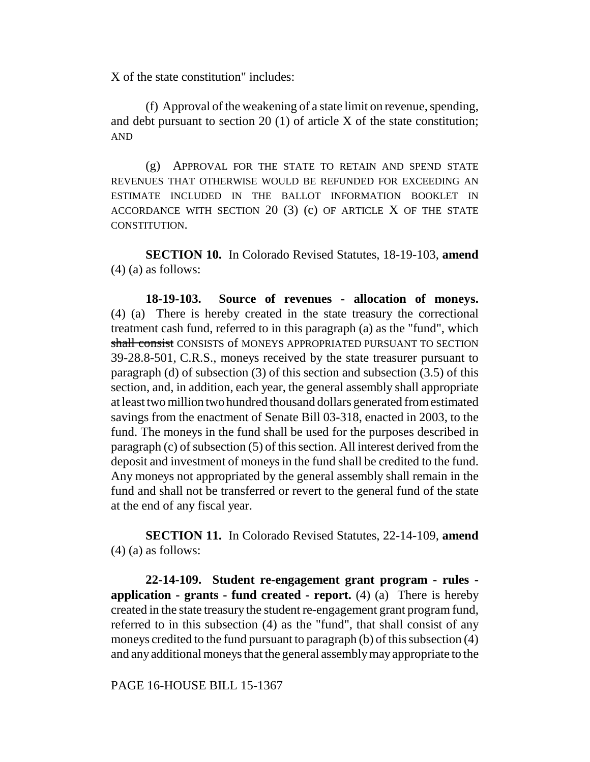X of the state constitution" includes:

(f) Approval of the weakening of a state limit on revenue, spending, and debt pursuant to section 20 (1) of article X of the state constitution; AND

(g) APPROVAL FOR THE STATE TO RETAIN AND SPEND STATE REVENUES THAT OTHERWISE WOULD BE REFUNDED FOR EXCEEDING AN ESTIMATE INCLUDED IN THE BALLOT INFORMATION BOOKLET IN ACCORDANCE WITH SECTION  $20$  (3) (c) OF ARTICLE X OF THE STATE CONSTITUTION.

**SECTION 10.** In Colorado Revised Statutes, 18-19-103, **amend** (4) (a) as follows:

**18-19-103. Source of revenues - allocation of moneys.** (4) (a) There is hereby created in the state treasury the correctional treatment cash fund, referred to in this paragraph (a) as the "fund", which shall consist CONSISTS of MONEYS APPROPRIATED PURSUANT TO SECTION 39-28.8-501, C.R.S., moneys received by the state treasurer pursuant to paragraph (d) of subsection (3) of this section and subsection (3.5) of this section, and, in addition, each year, the general assembly shall appropriate at least two million two hundred thousand dollars generated from estimated savings from the enactment of Senate Bill 03-318, enacted in 2003, to the fund. The moneys in the fund shall be used for the purposes described in paragraph (c) of subsection (5) of this section. All interest derived from the deposit and investment of moneys in the fund shall be credited to the fund. Any moneys not appropriated by the general assembly shall remain in the fund and shall not be transferred or revert to the general fund of the state at the end of any fiscal year.

**SECTION 11.** In Colorado Revised Statutes, 22-14-109, **amend** (4) (a) as follows:

**22-14-109. Student re-engagement grant program - rules application - grants - fund created - report.** (4) (a) There is hereby created in the state treasury the student re-engagement grant program fund, referred to in this subsection (4) as the "fund", that shall consist of any moneys credited to the fund pursuant to paragraph (b) of this subsection (4) and any additional moneys that the general assembly may appropriate to the

PAGE 16-HOUSE BILL 15-1367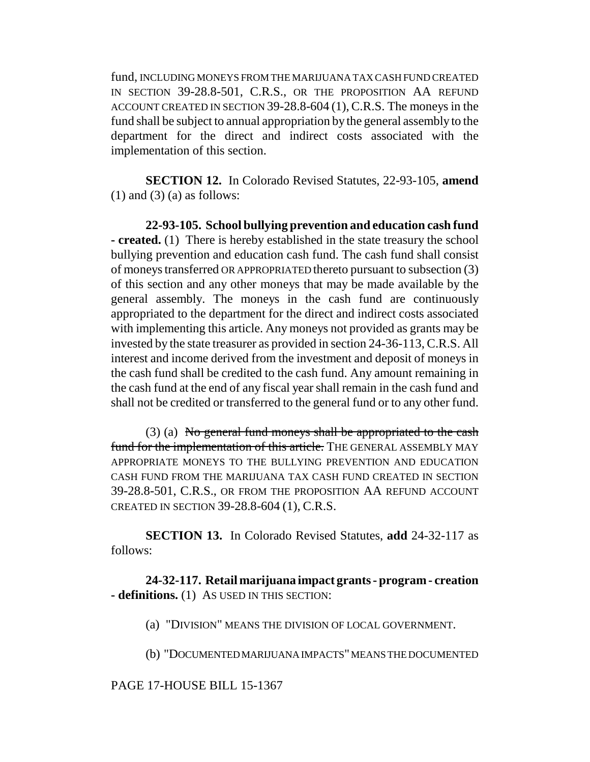fund, INCLUDING MONEYS FROM THE MARIJUANA TAX CASH FUND CREATED IN SECTION 39-28.8-501, C.R.S., OR THE PROPOSITION AA REFUND ACCOUNT CREATED IN SECTION 39-28.8-604 (1), C.R.S. The moneys in the fund shall be subject to annual appropriation by the general assembly to the department for the direct and indirect costs associated with the implementation of this section.

**SECTION 12.** In Colorado Revised Statutes, 22-93-105, **amend**  $(1)$  and  $(3)$   $(a)$  as follows:

**22-93-105. School bullying prevention and education cash fund - created.** (1) There is hereby established in the state treasury the school bullying prevention and education cash fund. The cash fund shall consist of moneys transferred OR APPROPRIATED thereto pursuant to subsection (3) of this section and any other moneys that may be made available by the general assembly. The moneys in the cash fund are continuously appropriated to the department for the direct and indirect costs associated with implementing this article. Any moneys not provided as grants may be invested by the state treasurer as provided in section 24-36-113, C.R.S. All interest and income derived from the investment and deposit of moneys in the cash fund shall be credited to the cash fund. Any amount remaining in the cash fund at the end of any fiscal year shall remain in the cash fund and shall not be credited or transferred to the general fund or to any other fund.

(3) (a) No general fund moneys shall be appropriated to the cash fund for the implementation of this article. THE GENERAL ASSEMBLY MAY APPROPRIATE MONEYS TO THE BULLYING PREVENTION AND EDUCATION CASH FUND FROM THE MARIJUANA TAX CASH FUND CREATED IN SECTION 39-28.8-501, C.R.S., OR FROM THE PROPOSITION AA REFUND ACCOUNT CREATED IN SECTION 39-28.8-604 (1), C.R.S.

**SECTION 13.** In Colorado Revised Statutes, **add** 24-32-117 as follows:

**24-32-117. Retail marijuana impact grants - program - creation - definitions.** (1) AS USED IN THIS SECTION:

(a) "DIVISION" MEANS THE DIVISION OF LOCAL GOVERNMENT.

(b) "DOCUMENTED MARIJUANA IMPACTS" MEANS THE DOCUMENTED

### PAGE 17-HOUSE BILL 15-1367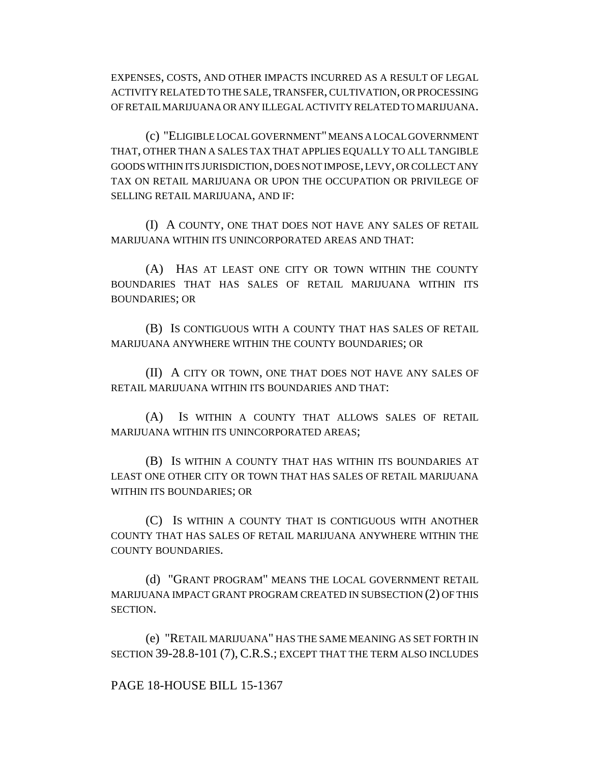EXPENSES, COSTS, AND OTHER IMPACTS INCURRED AS A RESULT OF LEGAL ACTIVITY RELATED TO THE SALE, TRANSFER, CULTIVATION, OR PROCESSING OF RETAIL MARIJUANA OR ANY ILLEGAL ACTIVITY RELATED TO MARIJUANA.

(c) "ELIGIBLE LOCAL GOVERNMENT" MEANS A LOCAL GOVERNMENT THAT, OTHER THAN A SALES TAX THAT APPLIES EQUALLY TO ALL TANGIBLE GOODS WITHIN ITS JURISDICTION, DOES NOT IMPOSE, LEVY, OR COLLECT ANY TAX ON RETAIL MARIJUANA OR UPON THE OCCUPATION OR PRIVILEGE OF SELLING RETAIL MARIJUANA, AND IF:

(I) A COUNTY, ONE THAT DOES NOT HAVE ANY SALES OF RETAIL MARIJUANA WITHIN ITS UNINCORPORATED AREAS AND THAT:

(A) HAS AT LEAST ONE CITY OR TOWN WITHIN THE COUNTY BOUNDARIES THAT HAS SALES OF RETAIL MARIJUANA WITHIN ITS BOUNDARIES; OR

(B) IS CONTIGUOUS WITH A COUNTY THAT HAS SALES OF RETAIL MARIJUANA ANYWHERE WITHIN THE COUNTY BOUNDARIES; OR

(II) A CITY OR TOWN, ONE THAT DOES NOT HAVE ANY SALES OF RETAIL MARIJUANA WITHIN ITS BOUNDARIES AND THAT:

(A) IS WITHIN A COUNTY THAT ALLOWS SALES OF RETAIL MARIJUANA WITHIN ITS UNINCORPORATED AREAS;

(B) IS WITHIN A COUNTY THAT HAS WITHIN ITS BOUNDARIES AT LEAST ONE OTHER CITY OR TOWN THAT HAS SALES OF RETAIL MARIJUANA WITHIN ITS BOUNDARIES; OR

(C) IS WITHIN A COUNTY THAT IS CONTIGUOUS WITH ANOTHER COUNTY THAT HAS SALES OF RETAIL MARIJUANA ANYWHERE WITHIN THE COUNTY BOUNDARIES.

(d) "GRANT PROGRAM" MEANS THE LOCAL GOVERNMENT RETAIL MARIJUANA IMPACT GRANT PROGRAM CREATED IN SUBSECTION (2) OF THIS SECTION.

(e) "RETAIL MARIJUANA" HAS THE SAME MEANING AS SET FORTH IN SECTION 39-28.8-101 (7), C.R.S.; EXCEPT THAT THE TERM ALSO INCLUDES

PAGE 18-HOUSE BILL 15-1367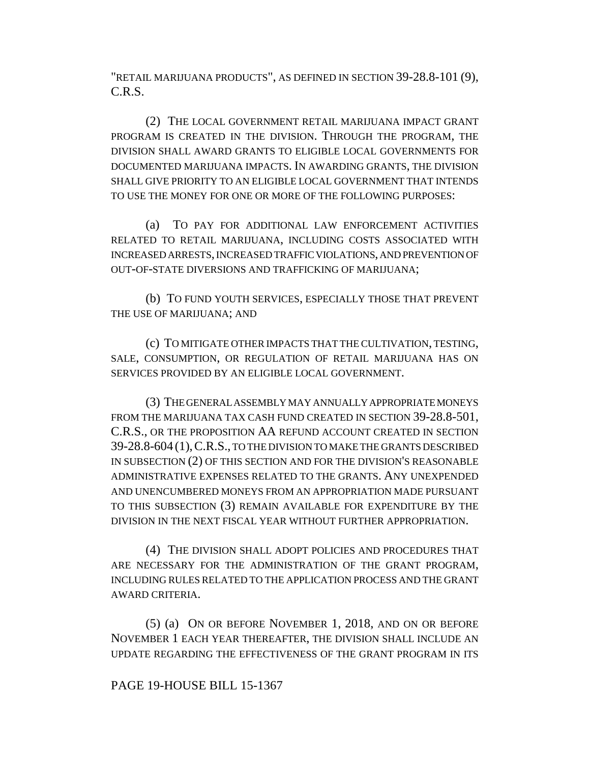"RETAIL MARIJUANA PRODUCTS", AS DEFINED IN SECTION 39-28.8-101 (9), C.R.S.

(2) THE LOCAL GOVERNMENT RETAIL MARIJUANA IMPACT GRANT PROGRAM IS CREATED IN THE DIVISION. THROUGH THE PROGRAM, THE DIVISION SHALL AWARD GRANTS TO ELIGIBLE LOCAL GOVERNMENTS FOR DOCUMENTED MARIJUANA IMPACTS. IN AWARDING GRANTS, THE DIVISION SHALL GIVE PRIORITY TO AN ELIGIBLE LOCAL GOVERNMENT THAT INTENDS TO USE THE MONEY FOR ONE OR MORE OF THE FOLLOWING PURPOSES:

(a) TO PAY FOR ADDITIONAL LAW ENFORCEMENT ACTIVITIES RELATED TO RETAIL MARIJUANA, INCLUDING COSTS ASSOCIATED WITH INCREASED ARRESTS, INCREASED TRAFFIC VIOLATIONS, AND PREVENTION OF OUT-OF-STATE DIVERSIONS AND TRAFFICKING OF MARIJUANA;

(b) TO FUND YOUTH SERVICES, ESPECIALLY THOSE THAT PREVENT THE USE OF MARIJUANA; AND

(c) TO MITIGATE OTHER IMPACTS THAT THE CULTIVATION, TESTING, SALE, CONSUMPTION, OR REGULATION OF RETAIL MARIJUANA HAS ON SERVICES PROVIDED BY AN ELIGIBLE LOCAL GOVERNMENT.

(3) THE GENERAL ASSEMBLY MAY ANNUALLY APPROPRIATE MONEYS FROM THE MARIJUANA TAX CASH FUND CREATED IN SECTION 39-28.8-501, C.R.S., OR THE PROPOSITION AA REFUND ACCOUNT CREATED IN SECTION 39-28.8-604 (1),C.R.S., TO THE DIVISION TO MAKE THE GRANTS DESCRIBED IN SUBSECTION (2) OF THIS SECTION AND FOR THE DIVISION'S REASONABLE ADMINISTRATIVE EXPENSES RELATED TO THE GRANTS. ANY UNEXPENDED AND UNENCUMBERED MONEYS FROM AN APPROPRIATION MADE PURSUANT TO THIS SUBSECTION (3) REMAIN AVAILABLE FOR EXPENDITURE BY THE DIVISION IN THE NEXT FISCAL YEAR WITHOUT FURTHER APPROPRIATION.

(4) THE DIVISION SHALL ADOPT POLICIES AND PROCEDURES THAT ARE NECESSARY FOR THE ADMINISTRATION OF THE GRANT PROGRAM, INCLUDING RULES RELATED TO THE APPLICATION PROCESS AND THE GRANT AWARD CRITERIA.

(5) (a) ON OR BEFORE NOVEMBER 1, 2018, AND ON OR BEFORE NOVEMBER 1 EACH YEAR THEREAFTER, THE DIVISION SHALL INCLUDE AN UPDATE REGARDING THE EFFECTIVENESS OF THE GRANT PROGRAM IN ITS

## PAGE 19-HOUSE BILL 15-1367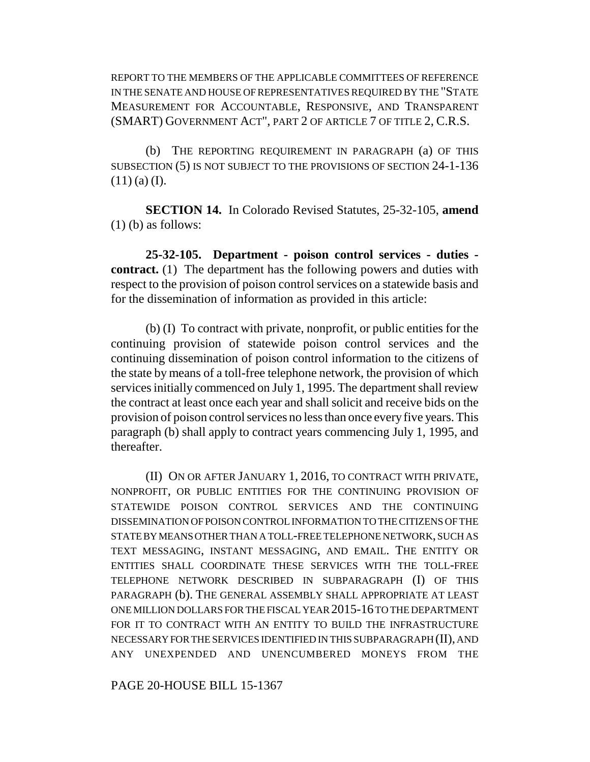REPORT TO THE MEMBERS OF THE APPLICABLE COMMITTEES OF REFERENCE IN THE SENATE AND HOUSE OF REPRESENTATIVES REQUIRED BY THE "STATE MEASUREMENT FOR ACCOUNTABLE, RESPONSIVE, AND TRANSPARENT (SMART) GOVERNMENT ACT", PART 2 OF ARTICLE 7 OF TITLE 2, C.R.S.

(b) THE REPORTING REQUIREMENT IN PARAGRAPH (a) OF THIS SUBSECTION (5) IS NOT SUBJECT TO THE PROVISIONS OF SECTION 24-1-136  $(11)$  (a) (I).

**SECTION 14.** In Colorado Revised Statutes, 25-32-105, **amend** (1) (b) as follows:

**25-32-105. Department - poison control services - duties contract.** (1) The department has the following powers and duties with respect to the provision of poison control services on a statewide basis and for the dissemination of information as provided in this article:

(b) (I) To contract with private, nonprofit, or public entities for the continuing provision of statewide poison control services and the continuing dissemination of poison control information to the citizens of the state by means of a toll-free telephone network, the provision of which services initially commenced on July 1, 1995. The department shall review the contract at least once each year and shall solicit and receive bids on the provision of poison control services no less than once every five years. This paragraph (b) shall apply to contract years commencing July 1, 1995, and thereafter.

(II) ON OR AFTER JANUARY 1, 2016, TO CONTRACT WITH PRIVATE, NONPROFIT, OR PUBLIC ENTITIES FOR THE CONTINUING PROVISION OF STATEWIDE POISON CONTROL SERVICES AND THE CONTINUING DISSEMINATION OF POISON CONTROL INFORMATION TO THE CITIZENS OF THE STATE BY MEANS OTHER THAN A TOLL-FREE TELEPHONE NETWORK, SUCH AS TEXT MESSAGING, INSTANT MESSAGING, AND EMAIL. THE ENTITY OR ENTITIES SHALL COORDINATE THESE SERVICES WITH THE TOLL-FREE TELEPHONE NETWORK DESCRIBED IN SUBPARAGRAPH (I) OF THIS PARAGRAPH (b). THE GENERAL ASSEMBLY SHALL APPROPRIATE AT LEAST ONE MILLION DOLLARS FOR THE FISCAL YEAR 2015-16 TO THE DEPARTMENT FOR IT TO CONTRACT WITH AN ENTITY TO BUILD THE INFRASTRUCTURE NECESSARY FOR THE SERVICES IDENTIFIED IN THIS SUBPARAGRAPH (II), AND ANY UNEXPENDED AND UNENCUMBERED MONEYS FROM THE

PAGE 20-HOUSE BILL 15-1367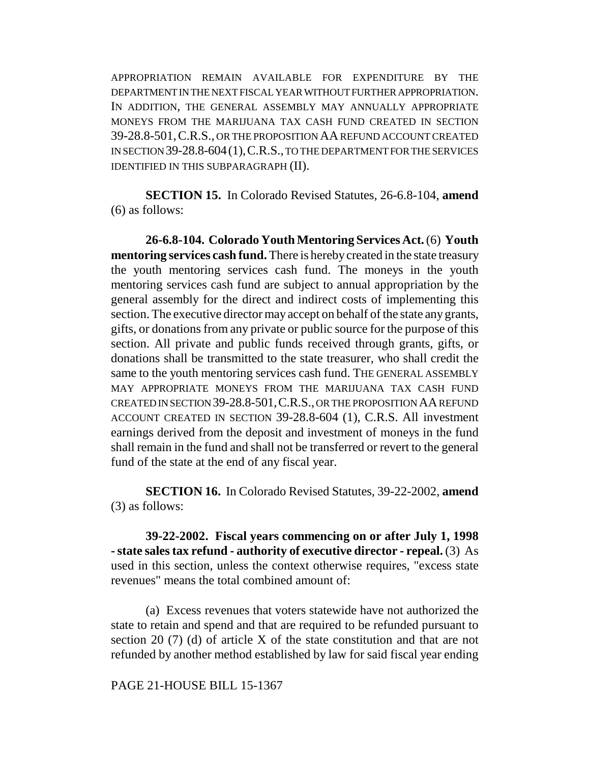APPROPRIATION REMAIN AVAILABLE FOR EXPENDITURE BY THE DEPARTMENT IN THE NEXT FISCAL YEAR WITHOUT FURTHER APPROPRIATION. IN ADDITION, THE GENERAL ASSEMBLY MAY ANNUALLY APPROPRIATE MONEYS FROM THE MARIJUANA TAX CASH FUND CREATED IN SECTION 39-28.8-501,C.R.S., OR THE PROPOSITION AA REFUND ACCOUNT CREATED IN SECTION 39-28.8-604(1),C.R.S., TO THE DEPARTMENT FOR THE SERVICES IDENTIFIED IN THIS SUBPARAGRAPH (II).

**SECTION 15.** In Colorado Revised Statutes, 26-6.8-104, **amend** (6) as follows:

**26-6.8-104. Colorado Youth Mentoring Services Act.** (6) **Youth mentoring services cash fund.** There is hereby created in the state treasury the youth mentoring services cash fund. The moneys in the youth mentoring services cash fund are subject to annual appropriation by the general assembly for the direct and indirect costs of implementing this section. The executive director may accept on behalf of the state any grants, gifts, or donations from any private or public source for the purpose of this section. All private and public funds received through grants, gifts, or donations shall be transmitted to the state treasurer, who shall credit the same to the youth mentoring services cash fund. THE GENERAL ASSEMBLY MAY APPROPRIATE MONEYS FROM THE MARIJUANA TAX CASH FUND CREATED IN SECTION 39-28.8-501,C.R.S., OR THE PROPOSITION AA REFUND ACCOUNT CREATED IN SECTION 39-28.8-604 (1), C.R.S. All investment earnings derived from the deposit and investment of moneys in the fund shall remain in the fund and shall not be transferred or revert to the general fund of the state at the end of any fiscal year.

**SECTION 16.** In Colorado Revised Statutes, 39-22-2002, **amend** (3) as follows:

**39-22-2002. Fiscal years commencing on or after July 1, 1998 - state sales tax refund - authority of executive director - repeal.** (3) As used in this section, unless the context otherwise requires, "excess state revenues" means the total combined amount of:

(a) Excess revenues that voters statewide have not authorized the state to retain and spend and that are required to be refunded pursuant to section 20 (7) (d) of article X of the state constitution and that are not refunded by another method established by law for said fiscal year ending

PAGE 21-HOUSE BILL 15-1367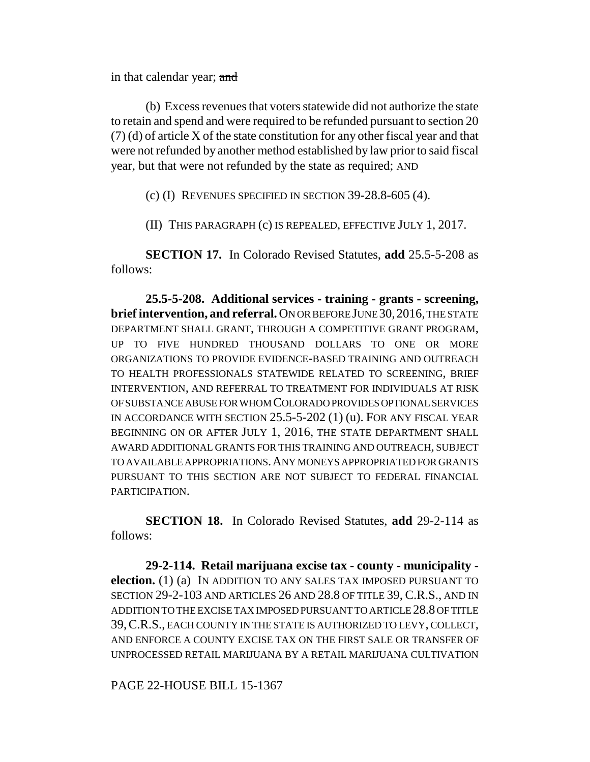in that calendar year; and

(b) Excess revenues that voters statewide did not authorize the state to retain and spend and were required to be refunded pursuant to section 20 (7) (d) of article X of the state constitution for any other fiscal year and that were not refunded by another method established by law prior to said fiscal year, but that were not refunded by the state as required; AND

(c) (I) REVENUES SPECIFIED IN SECTION 39-28.8-605 (4).

(II) THIS PARAGRAPH (c) IS REPEALED, EFFECTIVE JULY 1, 2017.

**SECTION 17.** In Colorado Revised Statutes, **add** 25.5-5-208 as follows:

**25.5-5-208. Additional services - training - grants - screening, brief intervention, and referral.** ON OR BEFORE JUNE 30,2016, THE STATE DEPARTMENT SHALL GRANT, THROUGH A COMPETITIVE GRANT PROGRAM, UP TO FIVE HUNDRED THOUSAND DOLLARS TO ONE OR MORE ORGANIZATIONS TO PROVIDE EVIDENCE-BASED TRAINING AND OUTREACH TO HEALTH PROFESSIONALS STATEWIDE RELATED TO SCREENING, BRIEF INTERVENTION, AND REFERRAL TO TREATMENT FOR INDIVIDUALS AT RISK OF SUBSTANCE ABUSE FOR WHOM COLORADO PROVIDES OPTIONAL SERVICES IN ACCORDANCE WITH SECTION 25.5-5-202 (1) (u). FOR ANY FISCAL YEAR BEGINNING ON OR AFTER JULY 1, 2016, THE STATE DEPARTMENT SHALL AWARD ADDITIONAL GRANTS FOR THIS TRAINING AND OUTREACH, SUBJECT TO AVAILABLE APPROPRIATIONS.ANY MONEYS APPROPRIATED FOR GRANTS PURSUANT TO THIS SECTION ARE NOT SUBJECT TO FEDERAL FINANCIAL PARTICIPATION.

**SECTION 18.** In Colorado Revised Statutes, **add** 29-2-114 as follows:

**29-2-114. Retail marijuana excise tax - county - municipality election.** (1) (a) IN ADDITION TO ANY SALES TAX IMPOSED PURSUANT TO SECTION 29-2-103 AND ARTICLES 26 AND 28.8 OF TITLE 39, C.R.S., AND IN ADDITION TO THE EXCISE TAX IMPOSED PURSUANT TO ARTICLE 28.8 OF TITLE 39,C.R.S., EACH COUNTY IN THE STATE IS AUTHORIZED TO LEVY, COLLECT, AND ENFORCE A COUNTY EXCISE TAX ON THE FIRST SALE OR TRANSFER OF UNPROCESSED RETAIL MARIJUANA BY A RETAIL MARIJUANA CULTIVATION

PAGE 22-HOUSE BILL 15-1367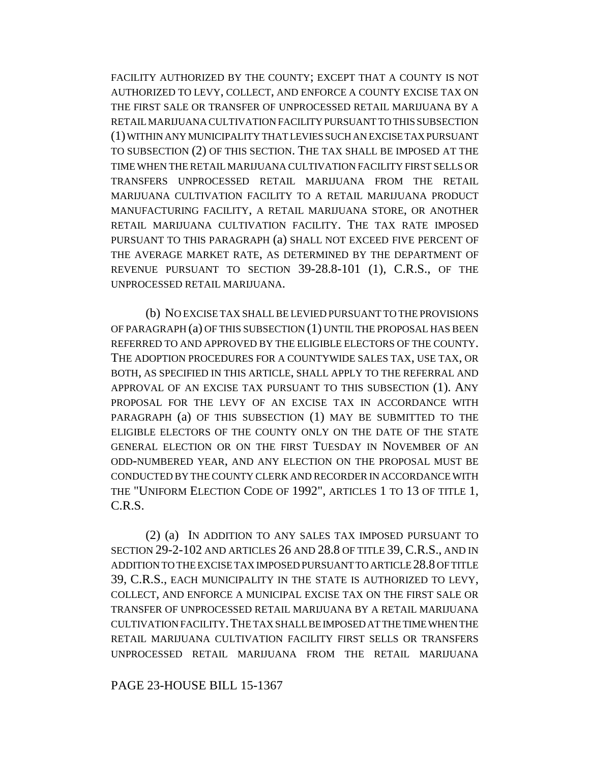FACILITY AUTHORIZED BY THE COUNTY; EXCEPT THAT A COUNTY IS NOT AUTHORIZED TO LEVY, COLLECT, AND ENFORCE A COUNTY EXCISE TAX ON THE FIRST SALE OR TRANSFER OF UNPROCESSED RETAIL MARIJUANA BY A RETAIL MARIJUANA CULTIVATION FACILITY PURSUANT TO THIS SUBSECTION (1) WITHIN ANY MUNICIPALITY THAT LEVIES SUCH AN EXCISE TAX PURSUANT TO SUBSECTION (2) OF THIS SECTION. THE TAX SHALL BE IMPOSED AT THE TIME WHEN THE RETAIL MARIJUANA CULTIVATION FACILITY FIRST SELLS OR TRANSFERS UNPROCESSED RETAIL MARIJUANA FROM THE RETAIL MARIJUANA CULTIVATION FACILITY TO A RETAIL MARIJUANA PRODUCT MANUFACTURING FACILITY, A RETAIL MARIJUANA STORE, OR ANOTHER RETAIL MARIJUANA CULTIVATION FACILITY. THE TAX RATE IMPOSED PURSUANT TO THIS PARAGRAPH (a) SHALL NOT EXCEED FIVE PERCENT OF THE AVERAGE MARKET RATE, AS DETERMINED BY THE DEPARTMENT OF REVENUE PURSUANT TO SECTION 39-28.8-101 (1), C.R.S., OF THE UNPROCESSED RETAIL MARIJUANA.

(b) NO EXCISE TAX SHALL BE LEVIED PURSUANT TO THE PROVISIONS OF PARAGRAPH (a) OF THIS SUBSECTION (1) UNTIL THE PROPOSAL HAS BEEN REFERRED TO AND APPROVED BY THE ELIGIBLE ELECTORS OF THE COUNTY. THE ADOPTION PROCEDURES FOR A COUNTYWIDE SALES TAX, USE TAX, OR BOTH, AS SPECIFIED IN THIS ARTICLE, SHALL APPLY TO THE REFERRAL AND APPROVAL OF AN EXCISE TAX PURSUANT TO THIS SUBSECTION (1). ANY PROPOSAL FOR THE LEVY OF AN EXCISE TAX IN ACCORDANCE WITH PARAGRAPH (a) OF THIS SUBSECTION (1) MAY BE SUBMITTED TO THE ELIGIBLE ELECTORS OF THE COUNTY ONLY ON THE DATE OF THE STATE GENERAL ELECTION OR ON THE FIRST TUESDAY IN NOVEMBER OF AN ODD-NUMBERED YEAR, AND ANY ELECTION ON THE PROPOSAL MUST BE CONDUCTED BY THE COUNTY CLERK AND RECORDER IN ACCORDANCE WITH THE "UNIFORM ELECTION CODE OF 1992", ARTICLES 1 TO 13 OF TITLE 1, C.R.S.

(2) (a) IN ADDITION TO ANY SALES TAX IMPOSED PURSUANT TO SECTION 29-2-102 AND ARTICLES 26 AND 28.8 OF TITLE 39, C.R.S., AND IN ADDITION TO THE EXCISE TAX IMPOSED PURSUANT TO ARTICLE 28.8 OF TITLE 39, C.R.S., EACH MUNICIPALITY IN THE STATE IS AUTHORIZED TO LEVY, COLLECT, AND ENFORCE A MUNICIPAL EXCISE TAX ON THE FIRST SALE OR TRANSFER OF UNPROCESSED RETAIL MARIJUANA BY A RETAIL MARIJUANA CULTIVATION FACILITY.THE TAX SHALL BE IMPOSED AT THE TIME WHEN THE RETAIL MARIJUANA CULTIVATION FACILITY FIRST SELLS OR TRANSFERS UNPROCESSED RETAIL MARIJUANA FROM THE RETAIL MARIJUANA

PAGE 23-HOUSE BILL 15-1367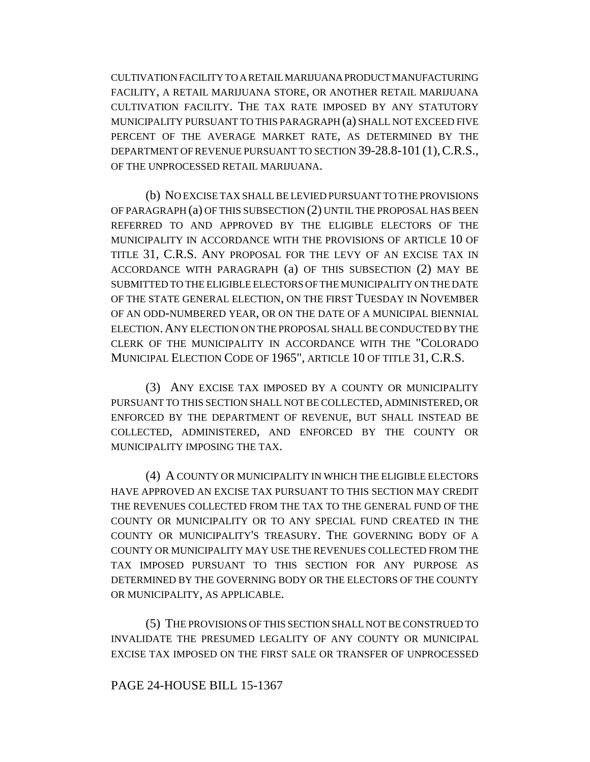CULTIVATION FACILITY TO A RETAIL MARIJUANA PRODUCT MANUFACTURING FACILITY, A RETAIL MARIJUANA STORE, OR ANOTHER RETAIL MARIJUANA CULTIVATION FACILITY. THE TAX RATE IMPOSED BY ANY STATUTORY MUNICIPALITY PURSUANT TO THIS PARAGRAPH (a) SHALL NOT EXCEED FIVE PERCENT OF THE AVERAGE MARKET RATE, AS DETERMINED BY THE DEPARTMENT OF REVENUE PURSUANT TO SECTION 39-28.8-101 (1), C.R.S., OF THE UNPROCESSED RETAIL MARIJUANA.

(b) NO EXCISE TAX SHALL BE LEVIED PURSUANT TO THE PROVISIONS OF PARAGRAPH (a) OF THIS SUBSECTION (2) UNTIL THE PROPOSAL HAS BEEN REFERRED TO AND APPROVED BY THE ELIGIBLE ELECTORS OF THE MUNICIPALITY IN ACCORDANCE WITH THE PROVISIONS OF ARTICLE 10 OF TITLE 31, C.R.S. ANY PROPOSAL FOR THE LEVY OF AN EXCISE TAX IN ACCORDANCE WITH PARAGRAPH (a) OF THIS SUBSECTION (2) MAY BE SUBMITTED TO THE ELIGIBLE ELECTORS OF THE MUNICIPALITY ON THE DATE OF THE STATE GENERAL ELECTION, ON THE FIRST TUESDAY IN NOVEMBER OF AN ODD-NUMBERED YEAR, OR ON THE DATE OF A MUNICIPAL BIENNIAL ELECTION.ANY ELECTION ON THE PROPOSAL SHALL BE CONDUCTED BY THE CLERK OF THE MUNICIPALITY IN ACCORDANCE WITH THE "COLORADO MUNICIPAL ELECTION CODE OF 1965", ARTICLE 10 OF TITLE 31, C.R.S.

(3) ANY EXCISE TAX IMPOSED BY A COUNTY OR MUNICIPALITY PURSUANT TO THIS SECTION SHALL NOT BE COLLECTED, ADMINISTERED, OR ENFORCED BY THE DEPARTMENT OF REVENUE, BUT SHALL INSTEAD BE COLLECTED, ADMINISTERED, AND ENFORCED BY THE COUNTY OR MUNICIPALITY IMPOSING THE TAX.

(4) A COUNTY OR MUNICIPALITY IN WHICH THE ELIGIBLE ELECTORS HAVE APPROVED AN EXCISE TAX PURSUANT TO THIS SECTION MAY CREDIT THE REVENUES COLLECTED FROM THE TAX TO THE GENERAL FUND OF THE COUNTY OR MUNICIPALITY OR TO ANY SPECIAL FUND CREATED IN THE COUNTY OR MUNICIPALITY'S TREASURY. THE GOVERNING BODY OF A COUNTY OR MUNICIPALITY MAY USE THE REVENUES COLLECTED FROM THE TAX IMPOSED PURSUANT TO THIS SECTION FOR ANY PURPOSE AS DETERMINED BY THE GOVERNING BODY OR THE ELECTORS OF THE COUNTY OR MUNICIPALITY, AS APPLICABLE.

(5) THE PROVISIONS OF THIS SECTION SHALL NOT BE CONSTRUED TO INVALIDATE THE PRESUMED LEGALITY OF ANY COUNTY OR MUNICIPAL EXCISE TAX IMPOSED ON THE FIRST SALE OR TRANSFER OF UNPROCESSED

#### PAGE 24-HOUSE BILL 15-1367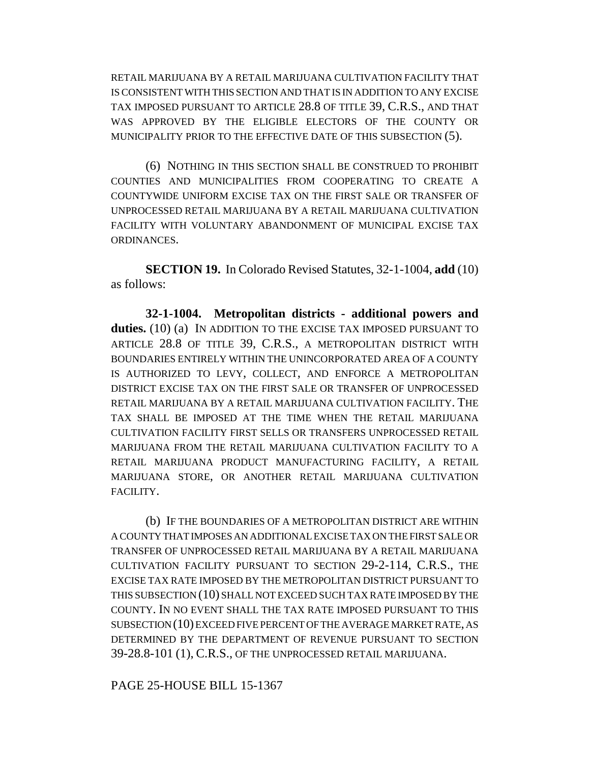RETAIL MARIJUANA BY A RETAIL MARIJUANA CULTIVATION FACILITY THAT IS CONSISTENT WITH THIS SECTION AND THAT IS IN ADDITION TO ANY EXCISE TAX IMPOSED PURSUANT TO ARTICLE 28.8 OF TITLE 39, C.R.S., AND THAT WAS APPROVED BY THE ELIGIBLE ELECTORS OF THE COUNTY OR MUNICIPALITY PRIOR TO THE EFFECTIVE DATE OF THIS SUBSECTION (5).

(6) NOTHING IN THIS SECTION SHALL BE CONSTRUED TO PROHIBIT COUNTIES AND MUNICIPALITIES FROM COOPERATING TO CREATE A COUNTYWIDE UNIFORM EXCISE TAX ON THE FIRST SALE OR TRANSFER OF UNPROCESSED RETAIL MARIJUANA BY A RETAIL MARIJUANA CULTIVATION FACILITY WITH VOLUNTARY ABANDONMENT OF MUNICIPAL EXCISE TAX ORDINANCES.

**SECTION 19.** In Colorado Revised Statutes, 32-1-1004, **add** (10) as follows:

**32-1-1004. Metropolitan districts - additional powers and duties.** (10) (a) IN ADDITION TO THE EXCISE TAX IMPOSED PURSUANT TO ARTICLE 28.8 OF TITLE 39, C.R.S., A METROPOLITAN DISTRICT WITH BOUNDARIES ENTIRELY WITHIN THE UNINCORPORATED AREA OF A COUNTY IS AUTHORIZED TO LEVY, COLLECT, AND ENFORCE A METROPOLITAN DISTRICT EXCISE TAX ON THE FIRST SALE OR TRANSFER OF UNPROCESSED RETAIL MARIJUANA BY A RETAIL MARIJUANA CULTIVATION FACILITY. THE TAX SHALL BE IMPOSED AT THE TIME WHEN THE RETAIL MARIJUANA CULTIVATION FACILITY FIRST SELLS OR TRANSFERS UNPROCESSED RETAIL MARIJUANA FROM THE RETAIL MARIJUANA CULTIVATION FACILITY TO A RETAIL MARIJUANA PRODUCT MANUFACTURING FACILITY, A RETAIL MARIJUANA STORE, OR ANOTHER RETAIL MARIJUANA CULTIVATION FACILITY.

(b) IF THE BOUNDARIES OF A METROPOLITAN DISTRICT ARE WITHIN A COUNTY THAT IMPOSES AN ADDITIONAL EXCISE TAX ON THE FIRST SALE OR TRANSFER OF UNPROCESSED RETAIL MARIJUANA BY A RETAIL MARIJUANA CULTIVATION FACILITY PURSUANT TO SECTION 29-2-114, C.R.S., THE EXCISE TAX RATE IMPOSED BY THE METROPOLITAN DISTRICT PURSUANT TO THIS SUBSECTION (10) SHALL NOT EXCEED SUCH TAX RATE IMPOSED BY THE COUNTY. IN NO EVENT SHALL THE TAX RATE IMPOSED PURSUANT TO THIS SUBSECTION (10) EXCEED FIVE PERCENT OF THE AVERAGE MARKET RATE, AS DETERMINED BY THE DEPARTMENT OF REVENUE PURSUANT TO SECTION 39-28.8-101 (1), C.R.S., OF THE UNPROCESSED RETAIL MARIJUANA.

PAGE 25-HOUSE BILL 15-1367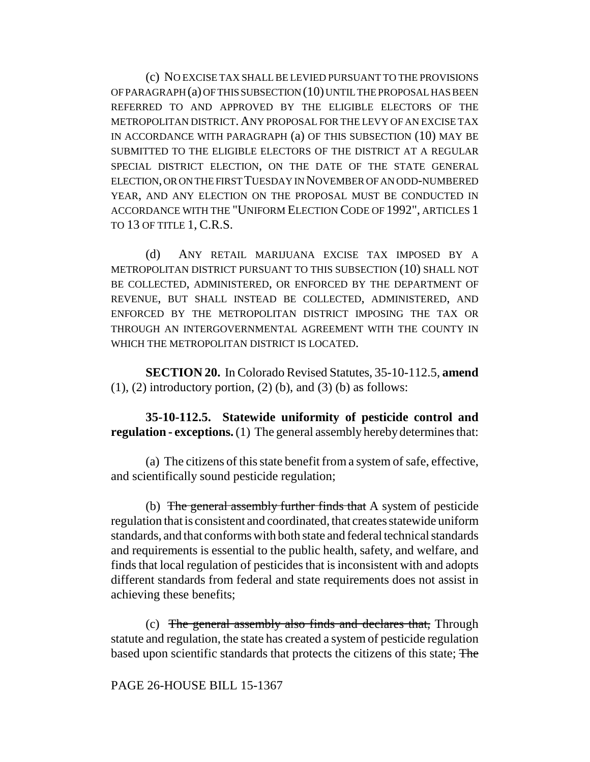(c) NO EXCISE TAX SHALL BE LEVIED PURSUANT TO THE PROVISIONS OF PARAGRAPH (a) OF THIS SUBSECTION (10) UNTIL THE PROPOSAL HAS BEEN REFERRED TO AND APPROVED BY THE ELIGIBLE ELECTORS OF THE METROPOLITAN DISTRICT. ANY PROPOSAL FOR THE LEVY OF AN EXCISE TAX IN ACCORDANCE WITH PARAGRAPH (a) OF THIS SUBSECTION (10) MAY BE SUBMITTED TO THE ELIGIBLE ELECTORS OF THE DISTRICT AT A REGULAR SPECIAL DISTRICT ELECTION, ON THE DATE OF THE STATE GENERAL ELECTION, OR ON THE FIRST TUESDAY IN NOVEMBER OF AN ODD-NUMBERED YEAR, AND ANY ELECTION ON THE PROPOSAL MUST BE CONDUCTED IN ACCORDANCE WITH THE "UNIFORM ELECTION CODE OF 1992", ARTICLES 1 TO 13 OF TITLE 1, C.R.S.

(d) ANY RETAIL MARIJUANA EXCISE TAX IMPOSED BY A METROPOLITAN DISTRICT PURSUANT TO THIS SUBSECTION (10) SHALL NOT BE COLLECTED, ADMINISTERED, OR ENFORCED BY THE DEPARTMENT OF REVENUE, BUT SHALL INSTEAD BE COLLECTED, ADMINISTERED, AND ENFORCED BY THE METROPOLITAN DISTRICT IMPOSING THE TAX OR THROUGH AN INTERGOVERNMENTAL AGREEMENT WITH THE COUNTY IN WHICH THE METROPOLITAN DISTRICT IS LOCATED.

**SECTION 20.** In Colorado Revised Statutes, 35-10-112.5, **amend**  $(1)$ ,  $(2)$  introductory portion,  $(2)$   $(b)$ , and  $(3)$   $(b)$  as follows:

**35-10-112.5. Statewide uniformity of pesticide control and regulation - exceptions.** (1) The general assembly hereby determines that:

(a) The citizens of this state benefit from a system of safe, effective, and scientifically sound pesticide regulation;

(b) The general assembly further finds that A system of pesticide regulation that is consistent and coordinated, that creates statewide uniform standards, and that conforms with both state and federal technical standards and requirements is essential to the public health, safety, and welfare, and finds that local regulation of pesticides that is inconsistent with and adopts different standards from federal and state requirements does not assist in achieving these benefits;

(c) The general assembly also finds and declares that, Through statute and regulation, the state has created a system of pesticide regulation based upon scientific standards that protects the citizens of this state; The

PAGE 26-HOUSE BILL 15-1367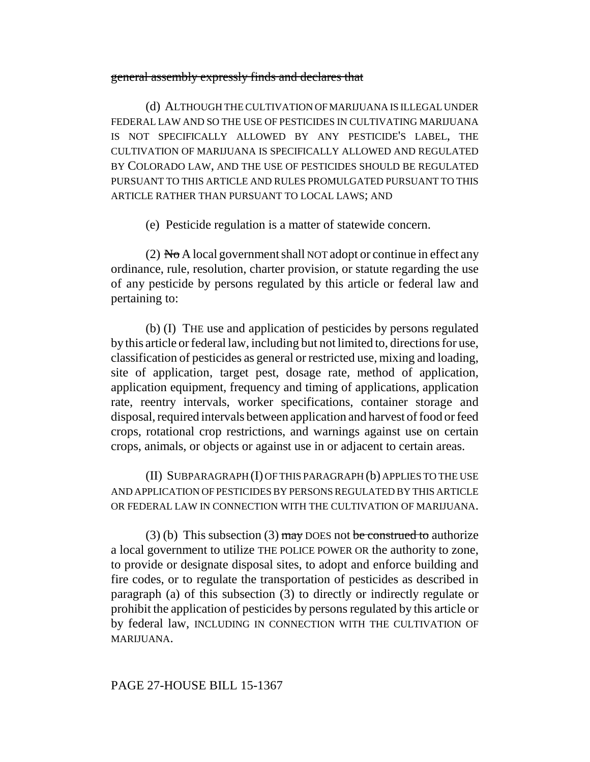### general assembly expressly finds and declares that

(d) ALTHOUGH THE CULTIVATION OF MARIJUANA IS ILLEGAL UNDER FEDERAL LAW AND SO THE USE OF PESTICIDES IN CULTIVATING MARIJUANA IS NOT SPECIFICALLY ALLOWED BY ANY PESTICIDE'S LABEL, THE CULTIVATION OF MARIJUANA IS SPECIFICALLY ALLOWED AND REGULATED BY COLORADO LAW, AND THE USE OF PESTICIDES SHOULD BE REGULATED PURSUANT TO THIS ARTICLE AND RULES PROMULGATED PURSUANT TO THIS ARTICLE RATHER THAN PURSUANT TO LOCAL LAWS; AND

(e) Pesticide regulation is a matter of statewide concern.

(2) No A local government shall NOT adopt or continue in effect any ordinance, rule, resolution, charter provision, or statute regarding the use of any pesticide by persons regulated by this article or federal law and pertaining to:

(b) (I) THE use and application of pesticides by persons regulated by this article or federal law, including but not limited to, directions for use, classification of pesticides as general or restricted use, mixing and loading, site of application, target pest, dosage rate, method of application, application equipment, frequency and timing of applications, application rate, reentry intervals, worker specifications, container storage and disposal, required intervals between application and harvest of food or feed crops, rotational crop restrictions, and warnings against use on certain crops, animals, or objects or against use in or adjacent to certain areas.

(II) SUBPARAGRAPH (I) OF THIS PARAGRAPH (b) APPLIES TO THE USE AND APPLICATION OF PESTICIDES BY PERSONS REGULATED BY THIS ARTICLE OR FEDERAL LAW IN CONNECTION WITH THE CULTIVATION OF MARIJUANA.

(3) (b) This subsection (3) may DOES not be construed to authorize a local government to utilize THE POLICE POWER OR the authority to zone, to provide or designate disposal sites, to adopt and enforce building and fire codes, or to regulate the transportation of pesticides as described in paragraph (a) of this subsection (3) to directly or indirectly regulate or prohibit the application of pesticides by persons regulated by this article or by federal law, INCLUDING IN CONNECTION WITH THE CULTIVATION OF MARIJUANA.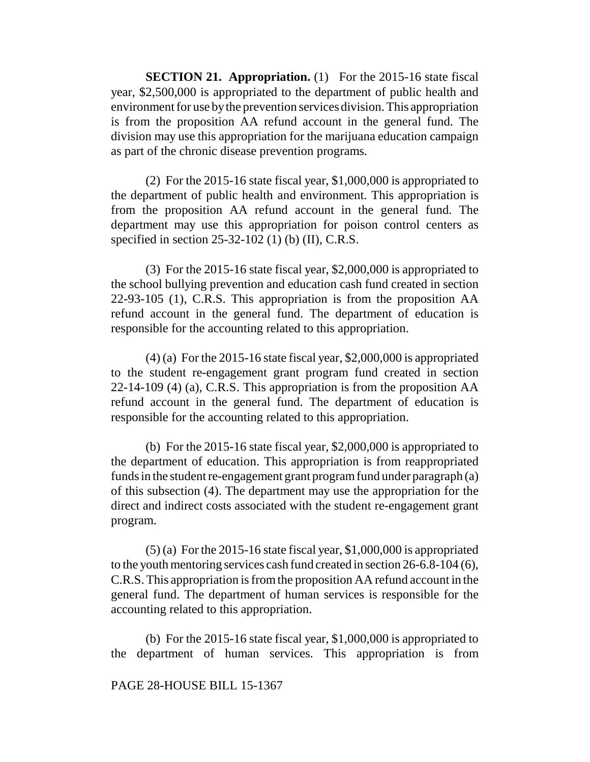**SECTION 21. Appropriation.** (1) For the 2015-16 state fiscal year, \$2,500,000 is appropriated to the department of public health and environment for use by the prevention services division. This appropriation is from the proposition AA refund account in the general fund. The division may use this appropriation for the marijuana education campaign as part of the chronic disease prevention programs.

(2) For the 2015-16 state fiscal year, \$1,000,000 is appropriated to the department of public health and environment. This appropriation is from the proposition AA refund account in the general fund. The department may use this appropriation for poison control centers as specified in section 25-32-102 (1) (b) (II), C.R.S.

(3) For the 2015-16 state fiscal year, \$2,000,000 is appropriated to the school bullying prevention and education cash fund created in section 22-93-105 (1), C.R.S. This appropriation is from the proposition AA refund account in the general fund. The department of education is responsible for the accounting related to this appropriation.

 $(4)$  (a) For the 2015-16 state fiscal year, \$2,000,000 is appropriated to the student re-engagement grant program fund created in section 22-14-109 (4) (a), C.R.S. This appropriation is from the proposition AA refund account in the general fund. The department of education is responsible for the accounting related to this appropriation.

(b) For the 2015-16 state fiscal year, \$2,000,000 is appropriated to the department of education. This appropriation is from reappropriated funds in the student re-engagement grant program fund under paragraph (a) of this subsection (4). The department may use the appropriation for the direct and indirect costs associated with the student re-engagement grant program.

 $(5)$  (a) For the 2015-16 state fiscal year, \$1,000,000 is appropriated to the youth mentoring services cash fund created in section 26-6.8-104 (6), C.R.S. This appropriation is from the proposition AA refund account in the general fund. The department of human services is responsible for the accounting related to this appropriation.

(b) For the 2015-16 state fiscal year, \$1,000,000 is appropriated to the department of human services. This appropriation is from

### PAGE 28-HOUSE BILL 15-1367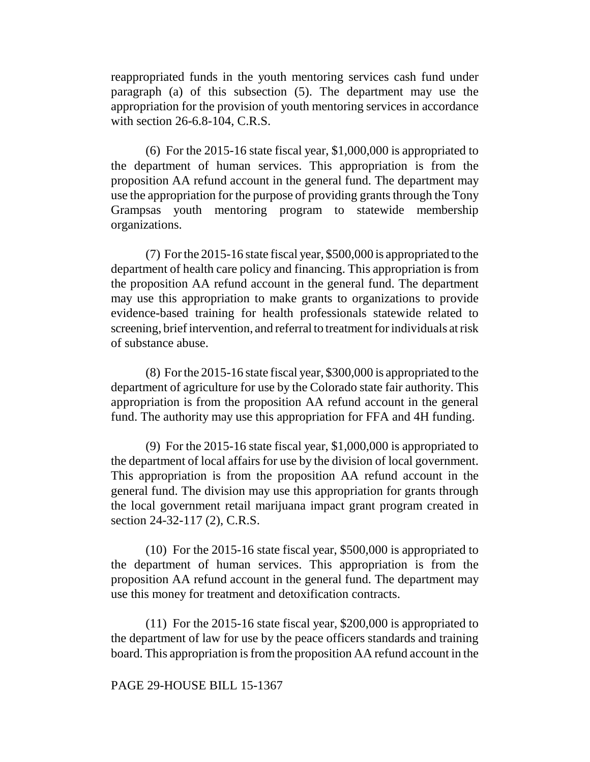reappropriated funds in the youth mentoring services cash fund under paragraph (a) of this subsection (5). The department may use the appropriation for the provision of youth mentoring services in accordance with section 26-6.8-104, C.R.S.

(6) For the 2015-16 state fiscal year, \$1,000,000 is appropriated to the department of human services. This appropriation is from the proposition AA refund account in the general fund. The department may use the appropriation for the purpose of providing grants through the Tony Grampsas youth mentoring program to statewide membership organizations.

(7) For the 2015-16 state fiscal year, \$500,000 is appropriated to the department of health care policy and financing. This appropriation is from the proposition AA refund account in the general fund. The department may use this appropriation to make grants to organizations to provide evidence-based training for health professionals statewide related to screening, brief intervention, and referral to treatment for individuals at risk of substance abuse.

(8) For the 2015-16 state fiscal year, \$300,000 is appropriated to the department of agriculture for use by the Colorado state fair authority. This appropriation is from the proposition AA refund account in the general fund. The authority may use this appropriation for FFA and 4H funding.

(9) For the 2015-16 state fiscal year, \$1,000,000 is appropriated to the department of local affairs for use by the division of local government. This appropriation is from the proposition AA refund account in the general fund. The division may use this appropriation for grants through the local government retail marijuana impact grant program created in section 24-32-117 (2), C.R.S.

(10) For the 2015-16 state fiscal year, \$500,000 is appropriated to the department of human services. This appropriation is from the proposition AA refund account in the general fund. The department may use this money for treatment and detoxification contracts.

(11) For the 2015-16 state fiscal year, \$200,000 is appropriated to the department of law for use by the peace officers standards and training board. This appropriation is from the proposition AA refund account in the

# PAGE 29-HOUSE BILL 15-1367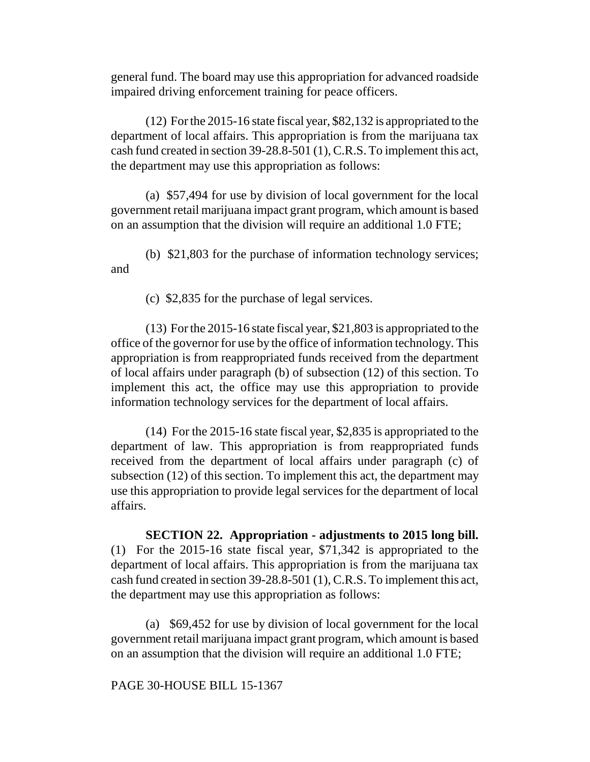general fund. The board may use this appropriation for advanced roadside impaired driving enforcement training for peace officers.

(12) For the 2015-16 state fiscal year, \$82,132 is appropriated to the department of local affairs. This appropriation is from the marijuana tax cash fund created in section 39-28.8-501 (1), C.R.S. To implement this act, the department may use this appropriation as follows:

(a) \$57,494 for use by division of local government for the local government retail marijuana impact grant program, which amount is based on an assumption that the division will require an additional 1.0 FTE;

(b) \$21,803 for the purchase of information technology services; and

(c) \$2,835 for the purchase of legal services.

(13) For the 2015-16 state fiscal year, \$21,803 is appropriated to the office of the governor for use by the office of information technology. This appropriation is from reappropriated funds received from the department of local affairs under paragraph (b) of subsection (12) of this section. To implement this act, the office may use this appropriation to provide information technology services for the department of local affairs.

(14) For the 2015-16 state fiscal year, \$2,835 is appropriated to the department of law. This appropriation is from reappropriated funds received from the department of local affairs under paragraph (c) of subsection (12) of this section. To implement this act, the department may use this appropriation to provide legal services for the department of local affairs.

**SECTION 22. Appropriation - adjustments to 2015 long bill.** (1) For the 2015-16 state fiscal year, \$71,342 is appropriated to the department of local affairs. This appropriation is from the marijuana tax cash fund created in section 39-28.8-501 (1), C.R.S. To implement this act, the department may use this appropriation as follows:

(a) \$69,452 for use by division of local government for the local government retail marijuana impact grant program, which amount is based on an assumption that the division will require an additional 1.0 FTE;

PAGE 30-HOUSE BILL 15-1367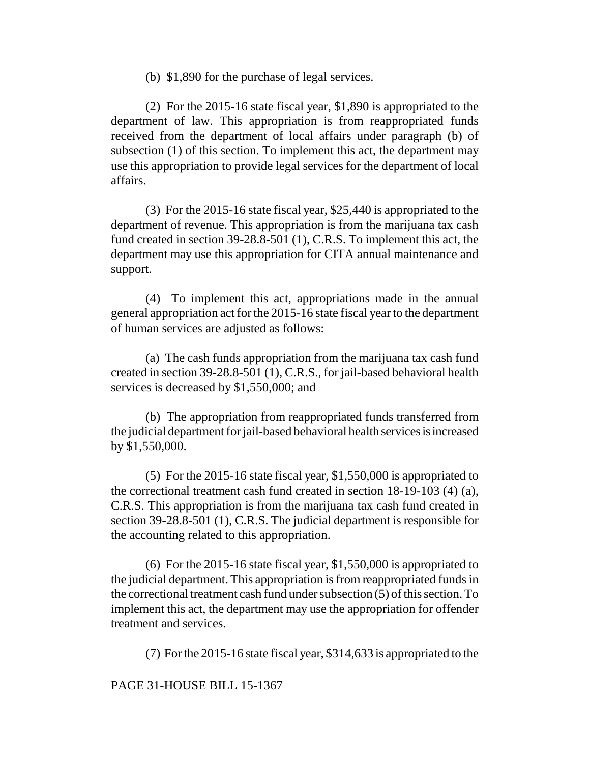(b) \$1,890 for the purchase of legal services.

(2) For the 2015-16 state fiscal year, \$1,890 is appropriated to the department of law. This appropriation is from reappropriated funds received from the department of local affairs under paragraph (b) of subsection (1) of this section. To implement this act, the department may use this appropriation to provide legal services for the department of local affairs.

(3) For the 2015-16 state fiscal year, \$25,440 is appropriated to the department of revenue. This appropriation is from the marijuana tax cash fund created in section 39-28.8-501 (1), C.R.S. To implement this act, the department may use this appropriation for CITA annual maintenance and support.

(4) To implement this act, appropriations made in the annual general appropriation act for the 2015-16 state fiscal year to the department of human services are adjusted as follows:

(a) The cash funds appropriation from the marijuana tax cash fund created in section 39-28.8-501 (1), C.R.S., for jail-based behavioral health services is decreased by \$1,550,000; and

(b) The appropriation from reappropriated funds transferred from the judicial department for jail-based behavioral health services is increased by \$1,550,000.

(5) For the 2015-16 state fiscal year, \$1,550,000 is appropriated to the correctional treatment cash fund created in section 18-19-103 (4) (a), C.R.S. This appropriation is from the marijuana tax cash fund created in section 39-28.8-501 (1), C.R.S. The judicial department is responsible for the accounting related to this appropriation.

(6) For the 2015-16 state fiscal year, \$1,550,000 is appropriated to the judicial department. This appropriation is from reappropriated funds in the correctional treatment cash fund under subsection (5) of this section. To implement this act, the department may use the appropriation for offender treatment and services.

(7) For the 2015-16 state fiscal year, \$314,633 is appropriated to the

PAGE 31-HOUSE BILL 15-1367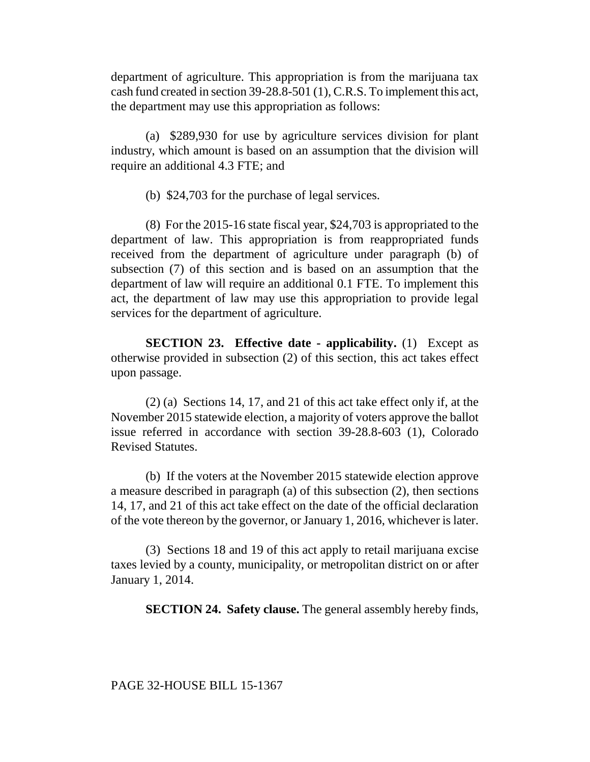department of agriculture. This appropriation is from the marijuana tax cash fund created in section 39-28.8-501 (1), C.R.S. To implement this act, the department may use this appropriation as follows:

(a) \$289,930 for use by agriculture services division for plant industry, which amount is based on an assumption that the division will require an additional 4.3 FTE; and

(b) \$24,703 for the purchase of legal services.

(8) For the 2015-16 state fiscal year, \$24,703 is appropriated to the department of law. This appropriation is from reappropriated funds received from the department of agriculture under paragraph (b) of subsection (7) of this section and is based on an assumption that the department of law will require an additional 0.1 FTE. To implement this act, the department of law may use this appropriation to provide legal services for the department of agriculture.

**SECTION 23. Effective date - applicability.** (1) Except as otherwise provided in subsection (2) of this section, this act takes effect upon passage.

(2) (a) Sections 14, 17, and 21 of this act take effect only if, at the November 2015 statewide election, a majority of voters approve the ballot issue referred in accordance with section 39-28.8-603 (1), Colorado Revised Statutes.

(b) If the voters at the November 2015 statewide election approve a measure described in paragraph (a) of this subsection (2), then sections 14, 17, and 21 of this act take effect on the date of the official declaration of the vote thereon by the governor, or January 1, 2016, whichever is later.

(3) Sections 18 and 19 of this act apply to retail marijuana excise taxes levied by a county, municipality, or metropolitan district on or after January 1, 2014.

**SECTION 24. Safety clause.** The general assembly hereby finds,